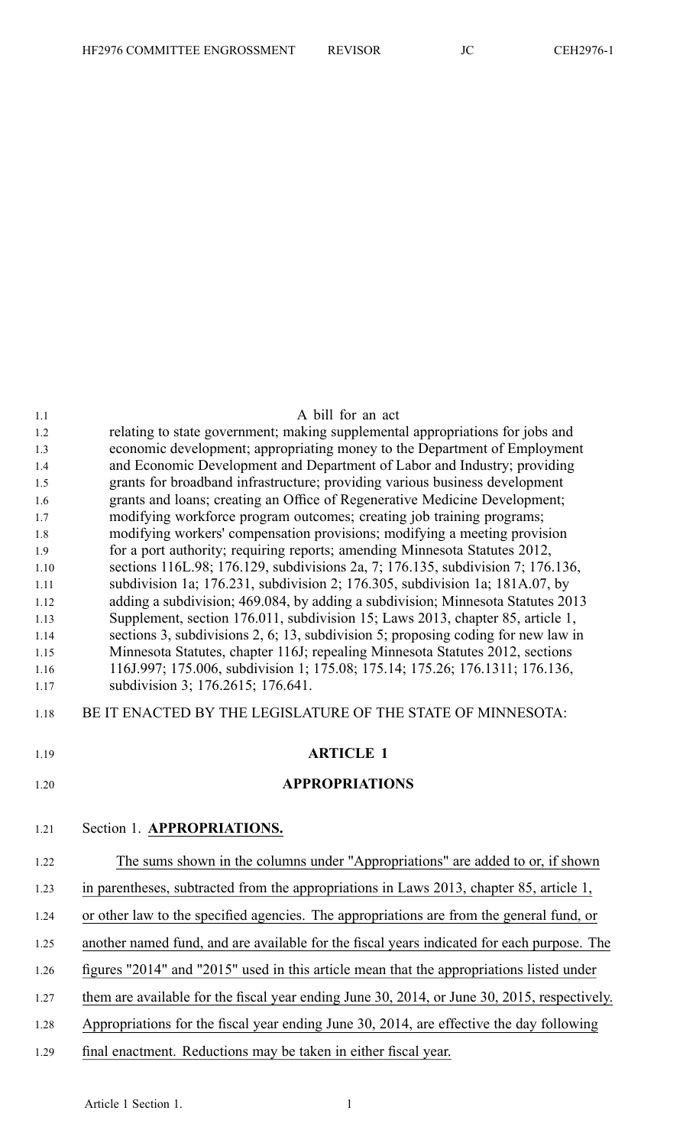| 1.1  | A bill for an act                                                                            |
|------|----------------------------------------------------------------------------------------------|
| 1.2  | relating to state government; making supplemental appropriations for jobs and                |
| 1.3  | economic development; appropriating money to the Department of Employment                    |
| 1.4  | and Economic Development and Department of Labor and Industry; providing                     |
| 1.5  | grants for broadband infrastructure; providing various business development                  |
| 1.6  | grants and loans; creating an Office of Regenerative Medicine Development;                   |
| 1.7  | modifying workforce program outcomes; creating job training programs;                        |
| 1.8  | modifying workers' compensation provisions; modifying a meeting provision                    |
| 1.9  | for a port authority; requiring reports; amending Minnesota Statutes 2012,                   |
| 1.10 | sections 116L.98; 176.129, subdivisions 2a, 7; 176.135, subdivision 7; 176.136,              |
| 1.11 | subdivision 1a; 176.231, subdivision 2; 176.305, subdivision 1a; 181A.07, by                 |
| 1.12 | adding a subdivision; 469.084, by adding a subdivision; Minnesota Statutes 2013              |
| 1.13 | Supplement, section 176.011, subdivision 15; Laws 2013, chapter 85, article 1,               |
| 1.14 | sections 3, subdivisions 2, 6; 13, subdivision 5; proposing coding for new law in            |
| 1.15 | Minnesota Statutes, chapter 116J; repealing Minnesota Statutes 2012, sections                |
| 1.16 | 116J.997; 175.006, subdivision 1; 175.08; 175.14; 175.26; 176.1311; 176.136,                 |
| 1.17 | subdivision 3; 176.2615; 176.641.                                                            |
| 1.18 | BE IT ENACTED BY THE LEGISLATURE OF THE STATE OF MINNESOTA:                                  |
|      |                                                                                              |
| 1.19 | <b>ARTICLE 1</b>                                                                             |
| 1.20 | <b>APPROPRIATIONS</b>                                                                        |
| 1.21 | Section 1. APPROPRIATIONS.                                                                   |
| 1.22 | The sums shown in the columns under "Appropriations" are added to or, if shown               |
| 1.23 | in parentheses, subtracted from the appropriations in Laws 2013, chapter 85, article 1,      |
| 1.24 | or other law to the specified agencies. The appropriations are from the general fund, or     |
| 1.25 | another named fund, and are available for the fiscal years indicated for each purpose. The   |
| 1.26 | figures "2014" and "2015" used in this article mean that the appropriations listed under     |
| 1.27 | them are available for the fiscal year ending June 30, 2014, or June 30, 2015, respectively. |
| 1.28 | Appropriations for the fiscal year ending June 30, 2014, are effective the day following     |
| 1.29 | final enactment. Reductions may be taken in either fiscal year.                              |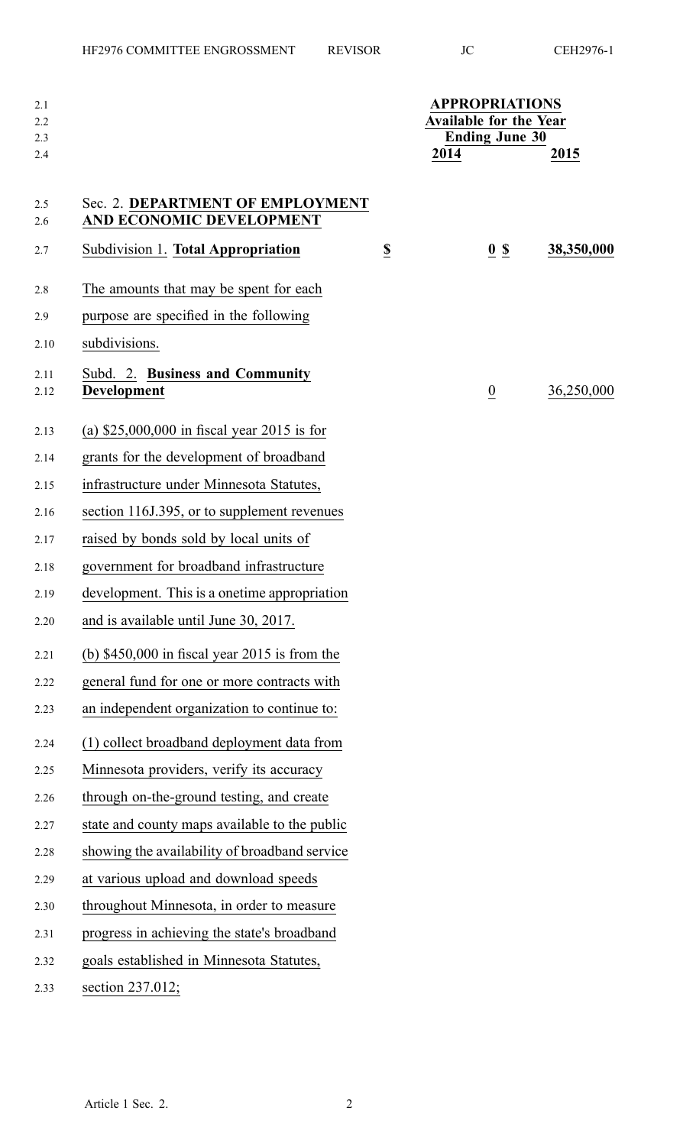| 2.1<br>2.2<br>2.3 |                                                              |                          | <b>APPROPRIATIONS</b><br><b>Available for the Year</b><br><b>Ending June 30</b> |                    |            |
|-------------------|--------------------------------------------------------------|--------------------------|---------------------------------------------------------------------------------|--------------------|------------|
| 2.4               |                                                              |                          | 2014                                                                            |                    | 2015       |
| 2.5<br>2.6        | Sec. 2. DEPARTMENT OF EMPLOYMENT<br>AND ECONOMIC DEVELOPMENT |                          |                                                                                 |                    |            |
| 2.7               | Subdivision 1. Total Appropriation                           | $\underline{\mathbb{S}}$ |                                                                                 | $\underline{0}$ \$ | 38,350,000 |
| 2.8               | The amounts that may be spent for each                       |                          |                                                                                 |                    |            |
| 2.9               | purpose are specified in the following                       |                          |                                                                                 |                    |            |
| 2.10              | subdivisions.                                                |                          |                                                                                 |                    |            |
| 2.11<br>2.12      | Subd. 2. Business and Community<br><b>Development</b>        |                          |                                                                                 | $\overline{0}$     | 36,250,000 |
| 2.13              | (a) $$25,000,000$ in fiscal year 2015 is for                 |                          |                                                                                 |                    |            |
| 2.14              | grants for the development of broadband                      |                          |                                                                                 |                    |            |
| 2.15              | infrastructure under Minnesota Statutes,                     |                          |                                                                                 |                    |            |
| 2.16              | section 116J.395, or to supplement revenues                  |                          |                                                                                 |                    |            |
| 2.17              | raised by bonds sold by local units of                       |                          |                                                                                 |                    |            |
| 2.18              | government for broadband infrastructure                      |                          |                                                                                 |                    |            |
| 2.19              | development. This is a onetime appropriation                 |                          |                                                                                 |                    |            |
| 2.20              | and is available until June 30, 2017.                        |                          |                                                                                 |                    |            |
| 2.21              | (b) $$450,000$ in fiscal year 2015 is from the               |                          |                                                                                 |                    |            |
| 2.22              | general fund for one or more contracts with                  |                          |                                                                                 |                    |            |
| 2.23              | an independent organization to continue to:                  |                          |                                                                                 |                    |            |
| 2.24              | (1) collect broadband deployment data from                   |                          |                                                                                 |                    |            |
| 2.25              | Minnesota providers, verify its accuracy                     |                          |                                                                                 |                    |            |
| 2.26              | through on-the-ground testing, and create                    |                          |                                                                                 |                    |            |
| 2.27              | state and county maps available to the public                |                          |                                                                                 |                    |            |
| 2.28              | showing the availability of broadband service                |                          |                                                                                 |                    |            |
| 2.29              | at various upload and download speeds                        |                          |                                                                                 |                    |            |
| 2.30              | throughout Minnesota, in order to measure                    |                          |                                                                                 |                    |            |
| 2.31              | progress in achieving the state's broadband                  |                          |                                                                                 |                    |            |
| 2.32              | goals established in Minnesota Statutes,                     |                          |                                                                                 |                    |            |
| 2.33              | section 237.012;                                             |                          |                                                                                 |                    |            |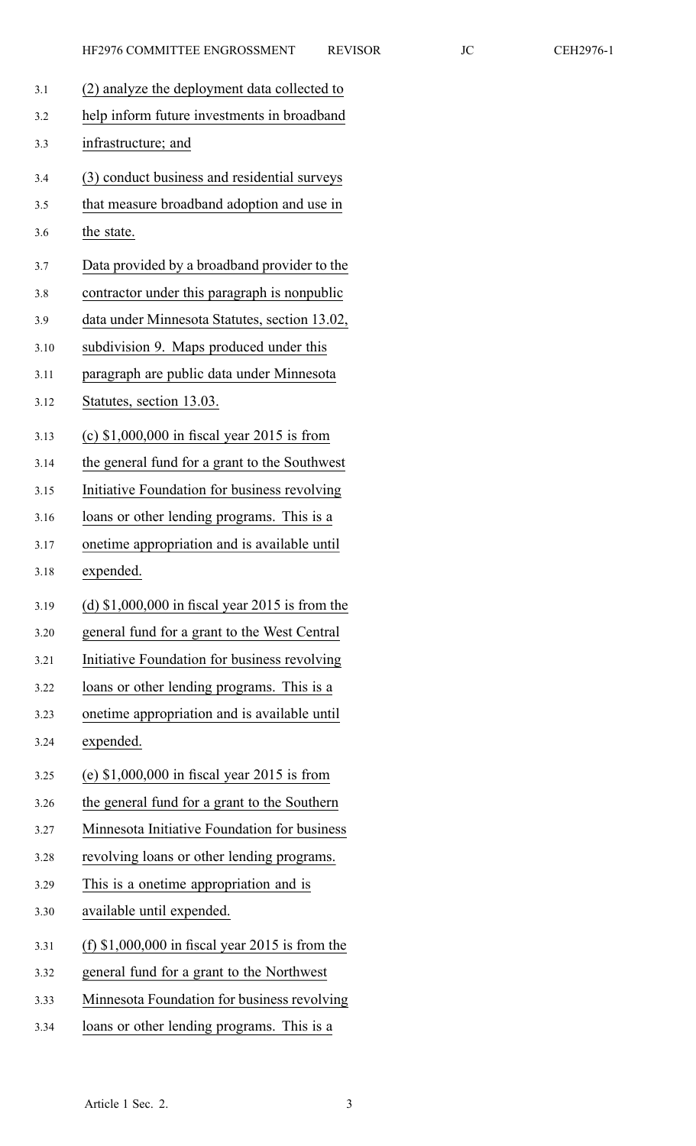| 3.1  | (2) analyze the deployment data collected to     |
|------|--------------------------------------------------|
| 3.2  | help inform future investments in broadband      |
| 3.3  | infrastructure; and                              |
| 3.4  | (3) conduct business and residential surveys     |
| 3.5  | that measure broadband adoption and use in       |
| 3.6  | the state.                                       |
| 3.7  | Data provided by a broadband provider to the     |
| 3.8  | contractor under this paragraph is nonpublic     |
| 3.9  | data under Minnesota Statutes, section 13.02,    |
| 3.10 | subdivision 9. Maps produced under this          |
| 3.11 | paragraph are public data under Minnesota        |
| 3.12 | Statutes, section 13.03.                         |
| 3.13 | (c) $$1,000,000$ in fiscal year 2015 is from     |
| 3.14 | the general fund for a grant to the Southwest    |
| 3.15 | Initiative Foundation for business revolving     |
| 3.16 | loans or other lending programs. This is a       |
| 3.17 | onetime appropriation and is available until     |
| 3.18 | expended.                                        |
| 3.19 | (d) $$1,000,000$ in fiscal year 2015 is from the |
| 3.20 | general fund for a grant to the West Central     |
| 3.21 | Initiative Foundation for business revolving     |
| 3.22 | loans or other lending programs. This is a       |
| 3.23 | onetime appropriation and is available until     |
| 3.24 | expended.                                        |
| 3.25 | (e) $$1,000,000$ in fiscal year 2015 is from     |
| 3.26 | the general fund for a grant to the Southern     |
|      |                                                  |
| 3.27 | Minnesota Initiative Foundation for business     |
| 3.28 | revolving loans or other lending programs.       |
| 3.29 | This is a onetime appropriation and is           |
| 3.30 | available until expended.                        |
| 3.31 | (f) $$1,000,000$ in fiscal year 2015 is from the |
| 3.32 | general fund for a grant to the Northwest        |
| 3.33 | Minnesota Foundation for business revolving      |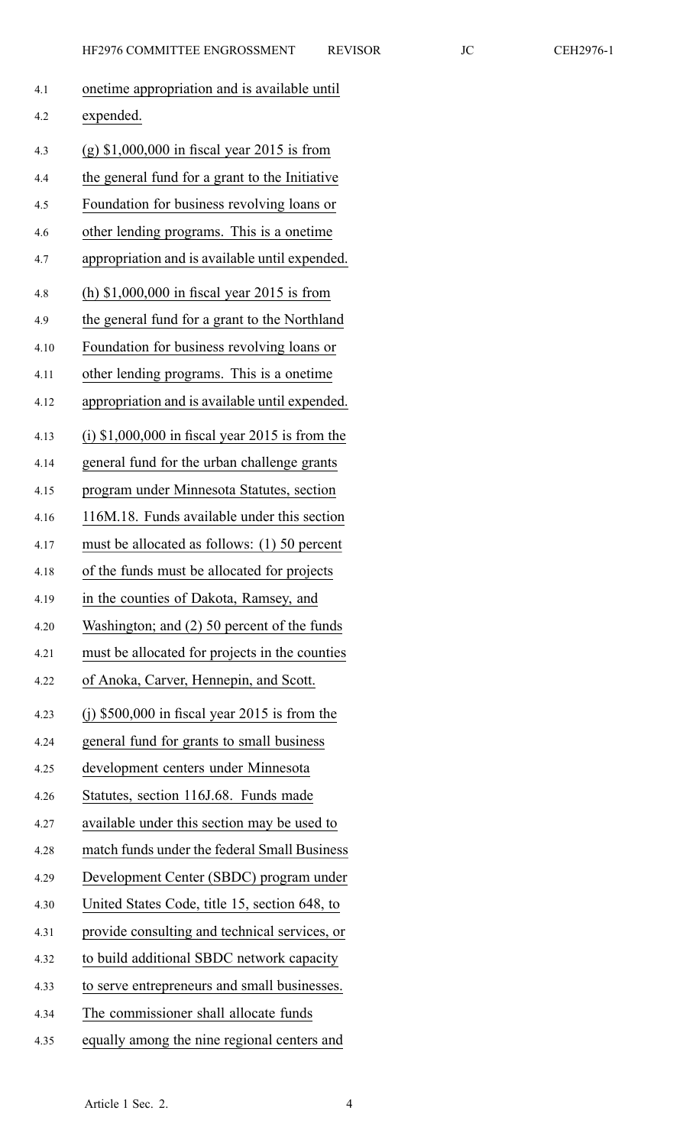| EVISOR |
|--------|
|        |

| 4.1  | onetime appropriation and is available until      |
|------|---------------------------------------------------|
| 4.2  | expended.                                         |
| 4.3  | $(g)$ \$1,000,000 in fiscal year 2015 is from     |
| 4.4  | the general fund for a grant to the Initiative    |
| 4.5  | Foundation for business revolving loans or        |
| 4.6  | other lending programs. This is a onetime         |
| 4.7  | appropriation and is available until expended.    |
| 4.8  | (h) $$1,000,000$ in fiscal year 2015 is from      |
| 4.9  | the general fund for a grant to the Northland     |
| 4.10 | Foundation for business revolving loans or        |
| 4.11 | other lending programs. This is a onetime         |
| 4.12 | appropriation and is available until expended.    |
| 4.13 | $(i)$ \$1,000,000 in fiscal year 2015 is from the |
| 4.14 | general fund for the urban challenge grants       |
| 4.15 | program under Minnesota Statutes, section         |
| 4.16 | 116M.18. Funds available under this section       |
| 4.17 | must be allocated as follows: (1) 50 percent      |
| 4.18 | of the funds must be allocated for projects       |
| 4.19 | in the counties of Dakota, Ramsey, and            |
| 4.20 | Washington; and (2) 50 percent of the funds       |
| 4.21 | must be allocated for projects in the counties    |
| 4.22 | of Anoka, Carver, Hennepin, and Scott.            |
| 4.23 | (j) $$500,000$ in fiscal year 2015 is from the    |
| 4.24 | general fund for grants to small business         |
| 4.25 | development centers under Minnesota               |
| 4.26 | Statutes, section 116J.68. Funds made             |
| 4.27 | available under this section may be used to       |
| 4.28 | match funds under the federal Small Business      |
| 4.29 | Development Center (SBDC) program under           |
| 4.30 | United States Code, title 15, section 648, to     |
| 4.31 | provide consulting and technical services, or     |
| 4.32 | to build additional SBDC network capacity         |
| 4.33 | to serve entrepreneurs and small businesses.      |
| 4.34 | The commissioner shall allocate funds             |
| 4.35 | equally among the nine regional centers and       |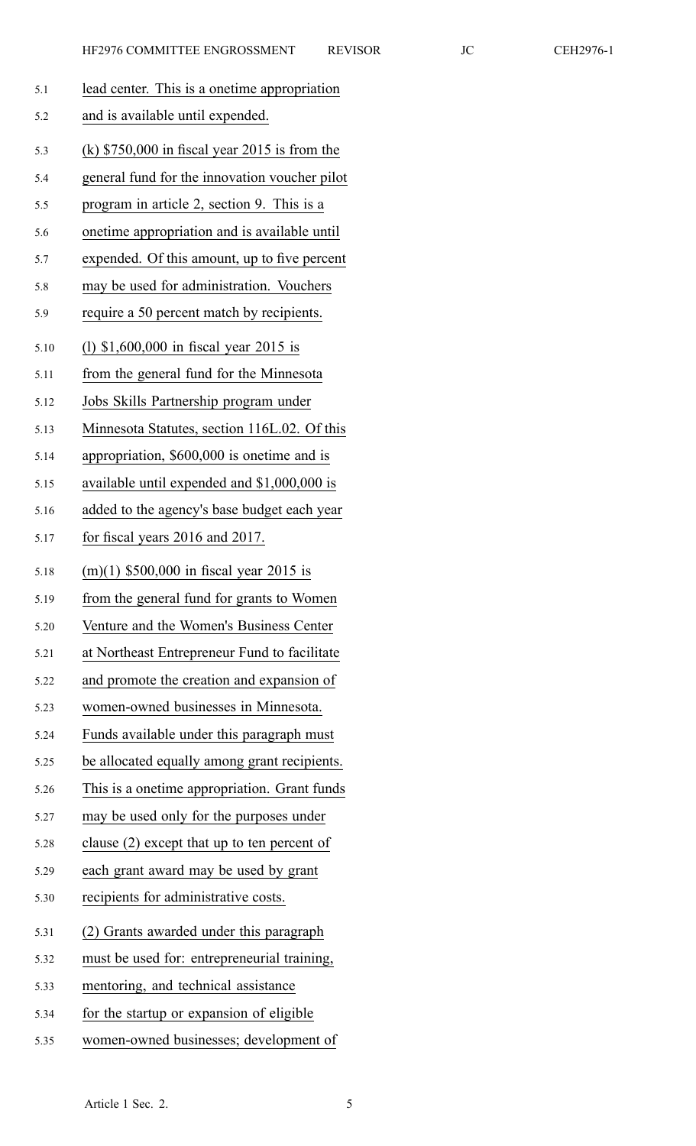| 5.1  | lead center. This is a onetime appropriation   |
|------|------------------------------------------------|
| 5.2  | and is available until expended.               |
| 5.3  | (k) $$750,000$ in fiscal year 2015 is from the |
| 5.4  | general fund for the innovation voucher pilot  |
| 5.5  | program in article 2, section 9. This is a     |
| 5.6  | onetime appropriation and is available until   |
| 5.7  | expended. Of this amount, up to five percent   |
| 5.8  | may be used for administration. Vouchers       |
| 5.9  | require a 50 percent match by recipients.      |
| 5.10 | (1) \$1,600,000 in fiscal year 2015 is         |
| 5.11 | from the general fund for the Minnesota        |
| 5.12 | Jobs Skills Partnership program under          |
| 5.13 | Minnesota Statutes, section 116L.02. Of this   |
| 5.14 | appropriation, \$600,000 is onetime and is     |
| 5.15 | available until expended and \$1,000,000 is    |
| 5.16 | added to the agency's base budget each year    |
| 5.17 | for fiscal years 2016 and 2017.                |
| 5.18 | $(m)(1)$ \$500,000 in fiscal year 2015 is      |
| 5.19 | from the general fund for grants to Women      |
| 5.20 | Venture and the Women's Business Center        |
| 5.21 | at Northeast Entrepreneur Fund to facilitate   |
| 5.22 | and promote the creation and expansion of      |
| 5.23 | women-owned businesses in Minnesota.           |
| 5.24 | Funds available under this paragraph must      |
| 5.25 | be allocated equally among grant recipients.   |
| 5.26 | This is a onetime appropriation. Grant funds   |
| 5.27 | may be used only for the purposes under        |
| 5.28 | clause (2) except that up to ten percent of    |
| 5.29 | each grant award may be used by grant          |
| 5.30 | recipients for administrative costs.           |
| 5.31 | (2) Grants awarded under this paragraph        |
| 5.32 | must be used for: entrepreneurial training,    |
| 5.33 | mentoring, and technical assistance            |
| 5.34 | for the startup or expansion of eligible       |
| 5.35 | women-owned businesses; development of         |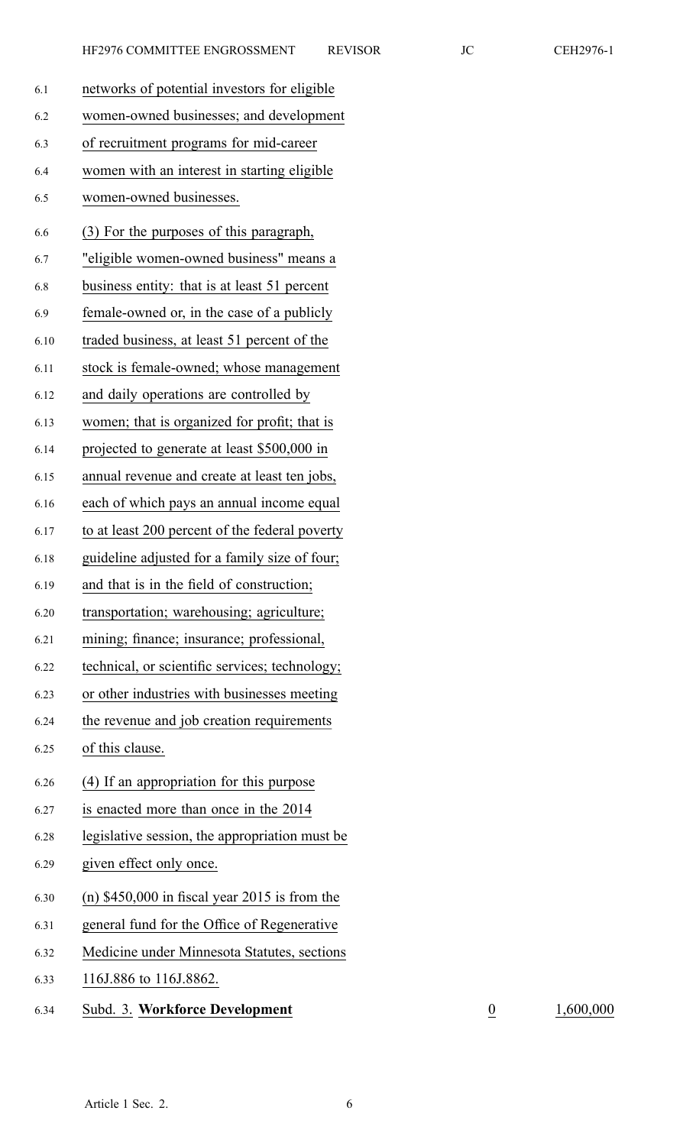| 6.1  | networks of potential investors for eligible   |
|------|------------------------------------------------|
| 6.2  | women-owned businesses; and development        |
| 6.3  | of recruitment programs for mid-career         |
| 6.4  | women with an interest in starting eligible    |
| 6.5  | women-owned businesses.                        |
| 6.6  | (3) For the purposes of this paragraph,        |
| 6.7  | "eligible women-owned business" means a        |
| 6.8  | business entity: that is at least 51 percent   |
| 6.9  | female-owned or, in the case of a publicly     |
| 6.10 | traded business, at least 51 percent of the    |
| 6.11 | stock is female-owned; whose management        |
| 6.12 | and daily operations are controlled by         |
| 6.13 | women; that is organized for profit; that is   |
| 6.14 | projected to generate at least \$500,000 in    |
| 6.15 | annual revenue and create at least ten jobs,   |
| 6.16 | each of which pays an annual income equal      |
| 6.17 | to at least 200 percent of the federal poverty |
| 6.18 | guideline adjusted for a family size of four;  |
| 6.19 | and that is in the field of construction;      |
| 6.20 | transportation; warehousing; agriculture;      |
| 6.21 | mining; finance; insurance; professional,      |
| 6.22 | technical, or scientific services; technology; |
| 6.23 | or other industries with businesses meeting    |
| 6.24 | the revenue and job creation requirements      |
| 6.25 | of this clause.                                |
| 6.26 | (4) If an appropriation for this purpose       |
| 6.27 | is enacted more than once in the 2014          |
| 6.28 | legislative session, the appropriation must be |
| 6.29 | given effect only once.                        |
| 6.30 | (n) $$450,000$ in fiscal year 2015 is from the |
| 6.31 | general fund for the Office of Regenerative    |
| 6.32 | Medicine under Minnesota Statutes, sections    |
| 6.33 | 116J.886 to 116J.8862.                         |
|      |                                                |

6.34 Subd. 3. **Workforce Development** 0 1,600,000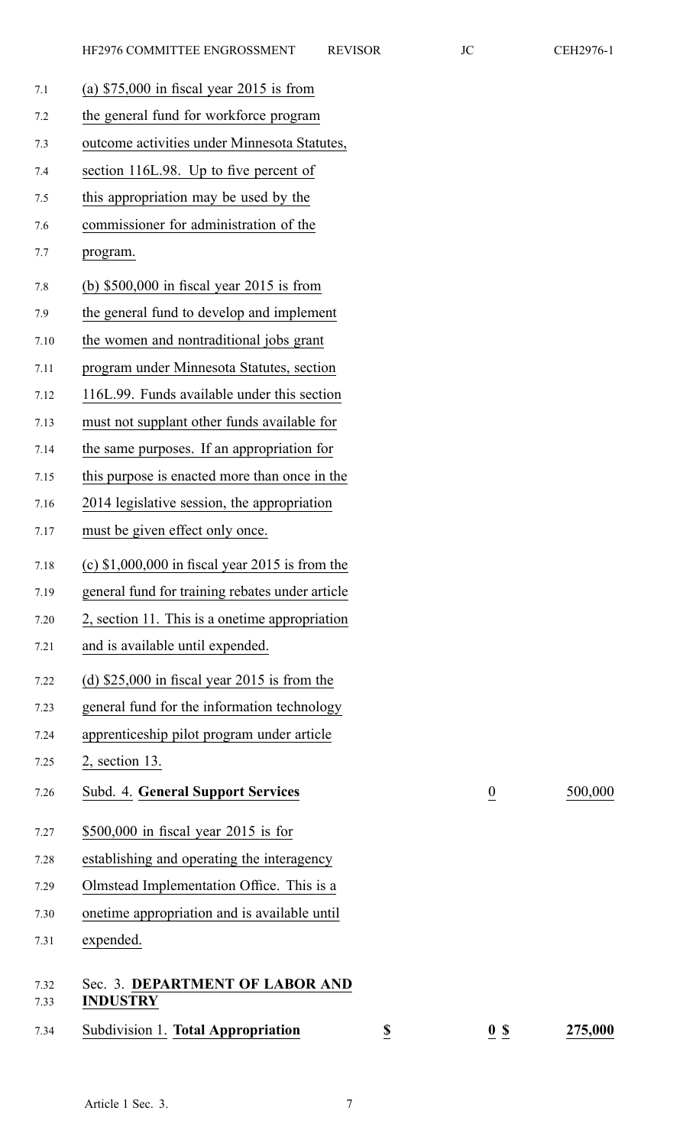| 7.1          | (a) $$75,000$ in fiscal year 2015 is from          |                         |                    |         |
|--------------|----------------------------------------------------|-------------------------|--------------------|---------|
| 7.2          | the general fund for workforce program             |                         |                    |         |
| 7.3          | outcome activities under Minnesota Statutes,       |                         |                    |         |
| 7.4          | section 116L.98. Up to five percent of             |                         |                    |         |
| 7.5          | this appropriation may be used by the              |                         |                    |         |
| 7.6          | commissioner for administration of the             |                         |                    |         |
| 7.7          | program.                                           |                         |                    |         |
| 7.8          | (b) $$500,000$ in fiscal year 2015 is from         |                         |                    |         |
| 7.9          | the general fund to develop and implement          |                         |                    |         |
| 7.10         | the women and nontraditional jobs grant            |                         |                    |         |
| 7.11         | program under Minnesota Statutes, section          |                         |                    |         |
| 7.12         | 116L.99. Funds available under this section        |                         |                    |         |
| 7.13         | must not supplant other funds available for        |                         |                    |         |
| 7.14         | the same purposes. If an appropriation for         |                         |                    |         |
| 7.15         | this purpose is enacted more than once in the      |                         |                    |         |
| 7.16         | 2014 legislative session, the appropriation        |                         |                    |         |
| 7.17         | must be given effect only once.                    |                         |                    |         |
| 7.18         | (c) $$1,000,000$ in fiscal year 2015 is from the   |                         |                    |         |
| 7.19         | general fund for training rebates under article    |                         |                    |         |
| 7.20         | 2, section 11. This is a onetime appropriation     |                         |                    |         |
| 7.21         | and is available until expended.                   |                         |                    |         |
| 7.22         | (d) $$25,000$ in fiscal year 2015 is from the      |                         |                    |         |
| 7.23         | general fund for the information technology        |                         |                    |         |
| 7.24         | apprenticeship pilot program under article         |                         |                    |         |
| 7.25         | $2$ , section 13.                                  |                         |                    |         |
| 7.26         | <b>Subd. 4. General Support Services</b>           |                         | $\overline{0}$     | 500,000 |
| 7.27         | $$500,000$ in fiscal year 2015 is for              |                         |                    |         |
| 7.28         | establishing and operating the interagency         |                         |                    |         |
| 7.29         | Olmstead Implementation Office. This is a          |                         |                    |         |
| 7.30         | onetime appropriation and is available until       |                         |                    |         |
| 7.31         | expended.                                          |                         |                    |         |
| 7.32<br>7.33 | Sec. 3. DEPARTMENT OF LABOR AND<br><b>INDUSTRY</b> |                         |                    |         |
| 7.34         | Subdivision 1. Total Appropriation                 | $\overline{\mathbf{S}}$ | $\underline{0}$ \$ | 275,000 |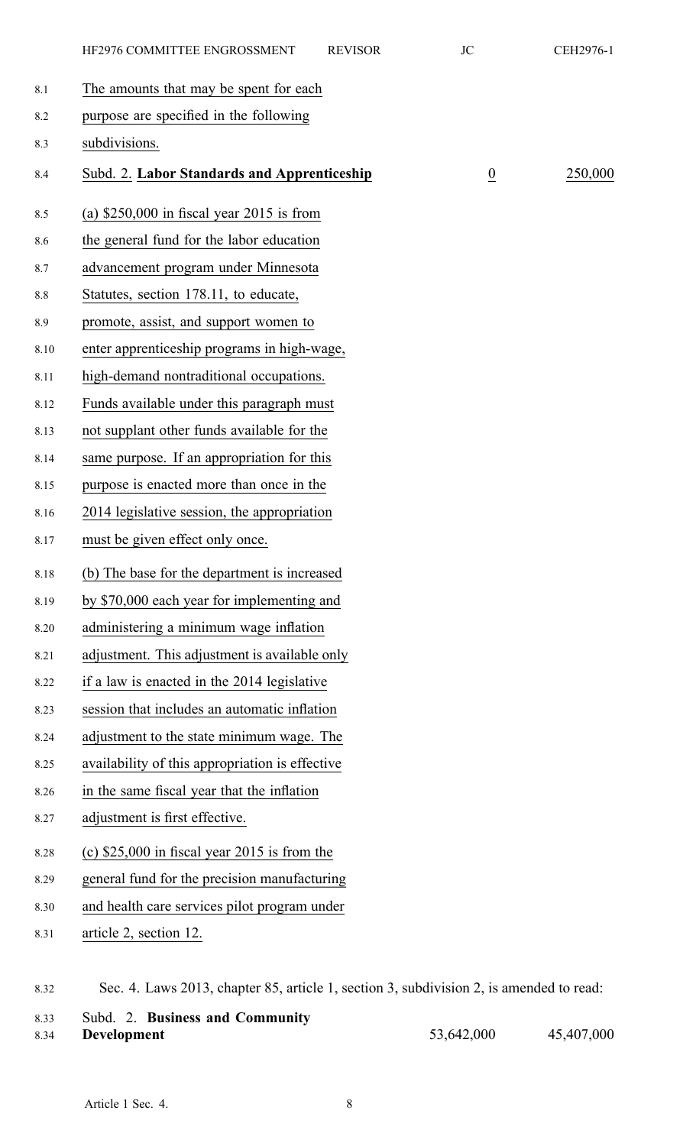|         | HF2976 COMMITTEE ENGROSSMENT                                                            | <b>REVISOR</b> | <b>JC</b>       | CEH2976-1 |
|---------|-----------------------------------------------------------------------------------------|----------------|-----------------|-----------|
| 8.1     | The amounts that may be spent for each                                                  |                |                 |           |
| 8.2     | purpose are specified in the following                                                  |                |                 |           |
| 8.3     | subdivisions.                                                                           |                |                 |           |
| 8.4     | Subd. 2. Labor Standards and Apprenticeship                                             |                | $\underline{0}$ | 250,000   |
| 8.5     | (a) $$250,000$ in fiscal year 2015 is from                                              |                |                 |           |
| 8.6     | the general fund for the labor education                                                |                |                 |           |
| 8.7     | advancement program under Minnesota                                                     |                |                 |           |
| $8.8\,$ | Statutes, section 178.11, to educate,                                                   |                |                 |           |
| 8.9     | promote, assist, and support women to                                                   |                |                 |           |
| 8.10    | enter apprenticeship programs in high-wage,                                             |                |                 |           |
| 8.11    | high-demand nontraditional occupations.                                                 |                |                 |           |
| 8.12    | Funds available under this paragraph must                                               |                |                 |           |
| 8.13    | not supplant other funds available for the                                              |                |                 |           |
| 8.14    | same purpose. If an appropriation for this                                              |                |                 |           |
| 8.15    | purpose is enacted more than once in the                                                |                |                 |           |
| 8.16    | 2014 legislative session, the appropriation                                             |                |                 |           |
| 8.17    | must be given effect only once.                                                         |                |                 |           |
| 8.18    | (b) The base for the department is increased                                            |                |                 |           |
| 8.19    | by \$70,000 each year for implementing and                                              |                |                 |           |
| 8.20    | administering a minimum wage inflation                                                  |                |                 |           |
| 8.21    | adjustment. This adjustment is available only                                           |                |                 |           |
| 8.22    | if a law is enacted in the 2014 legislative                                             |                |                 |           |
| 8.23    | session that includes an automatic inflation                                            |                |                 |           |
| 8.24    | adjustment to the state minimum wage. The                                               |                |                 |           |
| 8.25    | availability of this appropriation is effective                                         |                |                 |           |
| 8.26    | in the same fiscal year that the inflation                                              |                |                 |           |
| 8.27    | adjustment is first effective.                                                          |                |                 |           |
| 8.28    | (c) $$25,000$ in fiscal year 2015 is from the                                           |                |                 |           |
| 8.29    | general fund for the precision manufacturing                                            |                |                 |           |
| 8.30    | and health care services pilot program under                                            |                |                 |           |
| 8.31    | article 2, section 12.                                                                  |                |                 |           |
| 8.32    | Sec. 4. Laws 2013, chapter 85, article 1, section 3, subdivision 2, is amended to read: |                |                 |           |
|         |                                                                                         |                |                 |           |

8.33 Subd. 2. **Business and Community**

8.34 **Development** 53,642,000 45,407,000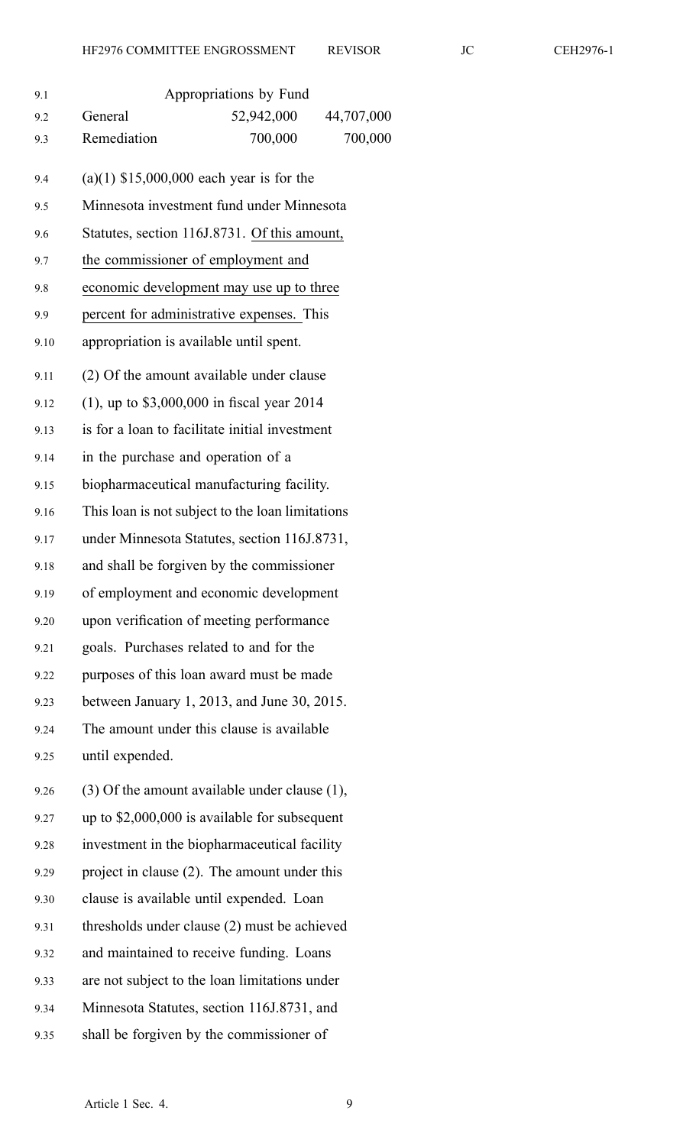| 9.1  | Appropriations by Fund                             |  |
|------|----------------------------------------------------|--|
| 9.2  | 44,707,000<br>General<br>52,942,000                |  |
| 9.3  | Remediation<br>700,000<br>700,000                  |  |
| 9.4  | $(a)(1)$ \$15,000,000 each year is for the         |  |
| 9.5  | Minnesota investment fund under Minnesota          |  |
| 9.6  | Statutes, section 116J.8731. Of this amount,       |  |
| 9.7  | the commissioner of employment and                 |  |
| 9.8  | economic development may use up to three           |  |
| 9.9  | percent for administrative expenses. This          |  |
| 9.10 | appropriation is available until spent.            |  |
| 9.11 | (2) Of the amount available under clause           |  |
| 9.12 | $(1)$ , up to \$3,000,000 in fiscal year 2014      |  |
| 9.13 | is for a loan to facilitate initial investment     |  |
| 9.14 | in the purchase and operation of a                 |  |
| 9.15 | biopharmaceutical manufacturing facility.          |  |
| 9.16 | This loan is not subject to the loan limitations   |  |
| 9.17 | under Minnesota Statutes, section 116J.8731,       |  |
| 9.18 | and shall be forgiven by the commissioner          |  |
| 9.19 | of employment and economic development             |  |
| 9.20 | upon verification of meeting performance           |  |
| 9.21 | goals. Purchases related to and for the            |  |
| 9.22 | purposes of this loan award must be made           |  |
| 9.23 | between January 1, 2013, and June 30, 2015.        |  |
| 9.24 | The amount under this clause is available          |  |
| 9.25 | until expended.                                    |  |
| 9.26 | $(3)$ Of the amount available under clause $(1)$ , |  |
| 9.27 | up to $$2,000,000$ is available for subsequent     |  |
| 9.28 | investment in the biopharmaceutical facility       |  |
| 9.29 | project in clause (2). The amount under this       |  |
| 9.30 | clause is available until expended. Loan           |  |
| 9.31 | thresholds under clause (2) must be achieved       |  |
| 9.32 | and maintained to receive funding. Loans           |  |
| 9.33 | are not subject to the loan limitations under      |  |
| 9.34 | Minnesota Statutes, section 116J.8731, and         |  |
| 9.35 | shall be forgiven by the commissioner of           |  |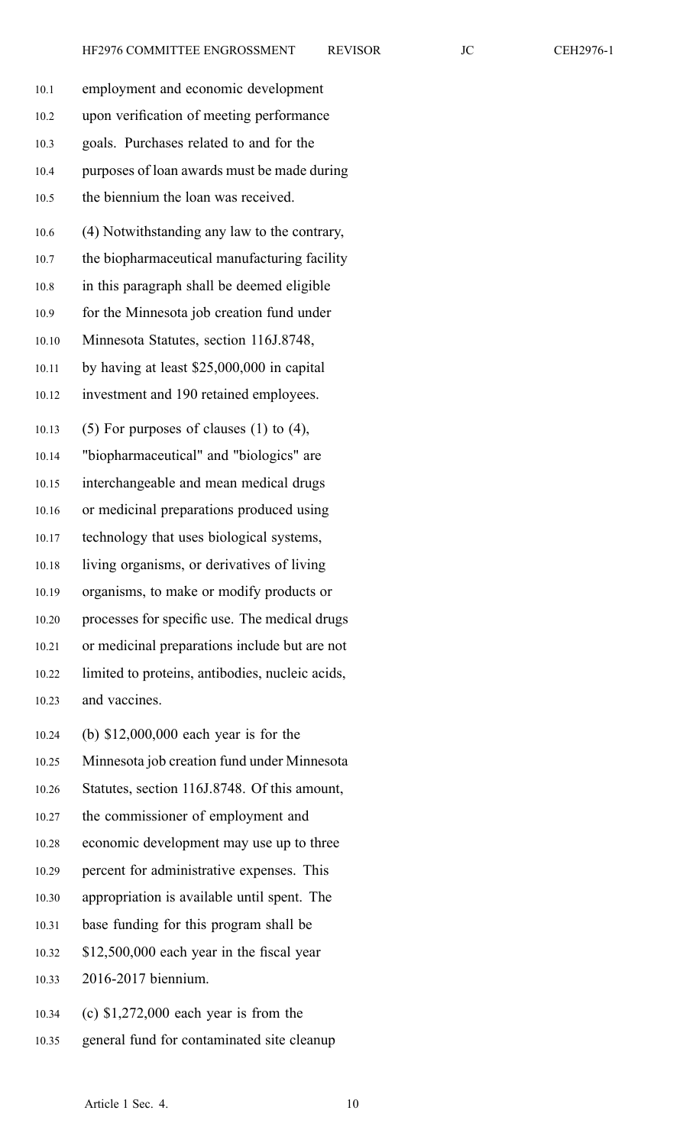| CEH2976-1 |  |
|-----------|--|
|-----------|--|

| 10.1  | employment and economic development             |
|-------|-------------------------------------------------|
| 10.2  | upon verification of meeting performance        |
| 10.3  | goals. Purchases related to and for the         |
| 10.4  | purposes of loan awards must be made during     |
| 10.5  | the biennium the loan was received.             |
| 10.6  | (4) Notwithstanding any law to the contrary,    |
| 10.7  | the biopharmaceutical manufacturing facility    |
| 10.8  | in this paragraph shall be deemed eligible      |
| 10.9  | for the Minnesota job creation fund under       |
| 10.10 | Minnesota Statutes, section 116J.8748,          |
| 10.11 | by having at least \$25,000,000 in capital      |
| 10.12 | investment and 190 retained employees.          |
| 10.13 | $(5)$ For purposes of clauses $(1)$ to $(4)$ ,  |
| 10.14 | "biopharmaceutical" and "biologics" are         |
| 10.15 | interchangeable and mean medical drugs          |
| 10.16 | or medicinal preparations produced using        |
| 10.17 | technology that uses biological systems,        |
| 10.18 | living organisms, or derivatives of living      |
| 10.19 | organisms, to make or modify products or        |
| 10.20 | processes for specific use. The medical drugs   |
| 10.21 | or medicinal preparations include but are not   |
| 10.22 | limited to proteins, antibodies, nucleic acids, |
| 10.23 | and vaccines.                                   |
| 10.24 | (b) $$12,000,000$ each year is for the          |
| 10.25 | Minnesota job creation fund under Minnesota     |
| 10.26 | Statutes, section 116J.8748. Of this amount,    |
| 10.27 | the commissioner of employment and              |
| 10.28 | economic development may use up to three        |
| 10.29 | percent for administrative expenses. This       |
| 10.30 | appropriation is available until spent. The     |
| 10.31 | base funding for this program shall be          |
| 10.32 | \$12,500,000 each year in the fiscal year       |
| 10.33 | 2016-2017 biennium.                             |
| 10.34 | (c) $$1,272,000$ each year is from the          |

10.35 general fund for contaminated site cleanup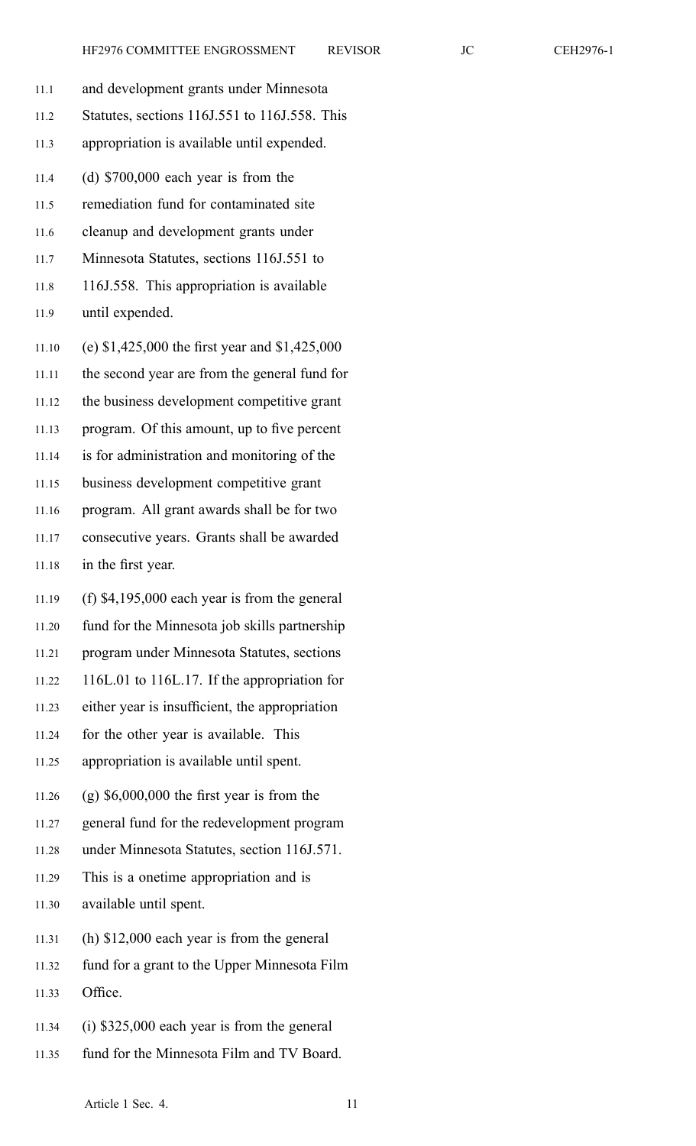- 11.1 and development grants under Minnesota 11.2 Statutes, sections 116J.551 to 116J.558. This 11.3 appropriation is available until expended. 11.4 (d) \$700,000 each year is from the 11.5 remediation fund for contaminated site 11.6 cleanup and development grants under 11.7 Minnesota Statutes, sections 116J.551 to 11.8 116J.558. This appropriation is available 11.9 until expended. 11.10 (e) \$1,425,000 the first year and \$1,425,000 11.11 the second year are from the general fund for 11.12 the business development competitive gran<sup>t</sup> 11.13 program. Of this amount, up to five percen<sup>t</sup> 11.14 is for administration and monitoring of the 11.15 business development competitive gran<sup>t</sup> 11.16 program. All gran<sup>t</sup> awards shall be for two 11.17 consecutive years. Grants shall be awarded 11.18 in the first year. 11.19 (f) \$4,195,000 each year is from the general 11.20 fund for the Minnesota job skills partnership 11.21 program under Minnesota Statutes, sections 11.22 116L.01 to 116L.17. If the appropriation for 11.23 either year is insufficient, the appropriation 11.24 for the other year is available. This 11.25 appropriation is available until spent. 11.26 (g) \$6,000,000 the first year is from the 11.27 general fund for the redevelopment program 11.28 under Minnesota Statutes, section 116J.571. 11.29 This is <sup>a</sup> onetime appropriation and is 11.30 available until spent. 11.31 (h) \$12,000 each year is from the general
- 11.32 fund for <sup>a</sup> gran<sup>t</sup> to the Upper Minnesota Film
- 11.33 Office.
- 11.34 (i) \$325,000 each year is from the general
- 11.35 fund for the Minnesota Film and TV Board.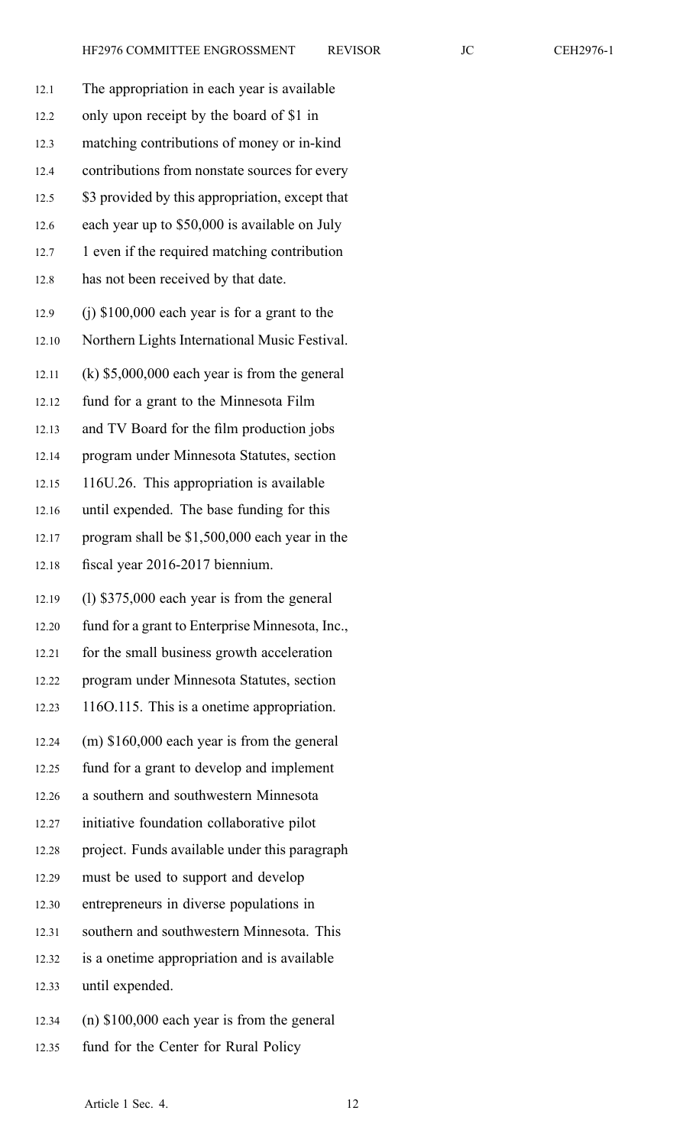| 12.1  | The appropriation in each year is available     |
|-------|-------------------------------------------------|
| 12.2  | only upon receipt by the board of \$1 in        |
| 12.3  | matching contributions of money or in-kind      |
| 12.4  | contributions from nonstate sources for every   |
| 12.5  | \$3 provided by this appropriation, except that |
| 12.6  | each year up to \$50,000 is available on July   |
| 12.7  | 1 even if the required matching contribution    |
| 12.8  | has not been received by that date.             |
|       |                                                 |
| 12.9  | $(i)$ \$100,000 each year is for a grant to the |
| 12.10 | Northern Lights International Music Festival.   |
| 12.11 | $(k)$ \$5,000,000 each year is from the general |
| 12.12 | fund for a grant to the Minnesota Film          |
| 12.13 | and TV Board for the film production jobs       |
| 12.14 | program under Minnesota Statutes, section       |
| 12.15 | 116U.26. This appropriation is available        |
| 12.16 | until expended. The base funding for this       |
| 12.17 | program shall be \$1,500,000 each year in the   |
| 12.18 | fiscal year 2016-2017 biennium.                 |
| 12.19 | $(1)$ \$375,000 each year is from the general   |
| 12.20 | fund for a grant to Enterprise Minnesota, Inc., |
| 12.21 | for the small business growth acceleration      |
| 12.22 |                                                 |
|       | program under Minnesota Statutes, section       |
| 12.23 | 1160.115. This is a onetime appropriation.      |
| 12.24 | (m) \$160,000 each year is from the general     |
| 12.25 | fund for a grant to develop and implement       |
| 12.26 | a southern and southwestern Minnesota           |
| 12.27 | initiative foundation collaborative pilot       |
| 12.28 | project. Funds available under this paragraph   |
| 12.29 | must be used to support and develop             |
| 12.30 | entrepreneurs in diverse populations in         |
| 12.31 | southern and southwestern Minnesota. This       |
| 12.32 | is a onetime appropriation and is available     |
| 12.33 | until expended.                                 |

12.35 fund for the Center for Rural Policy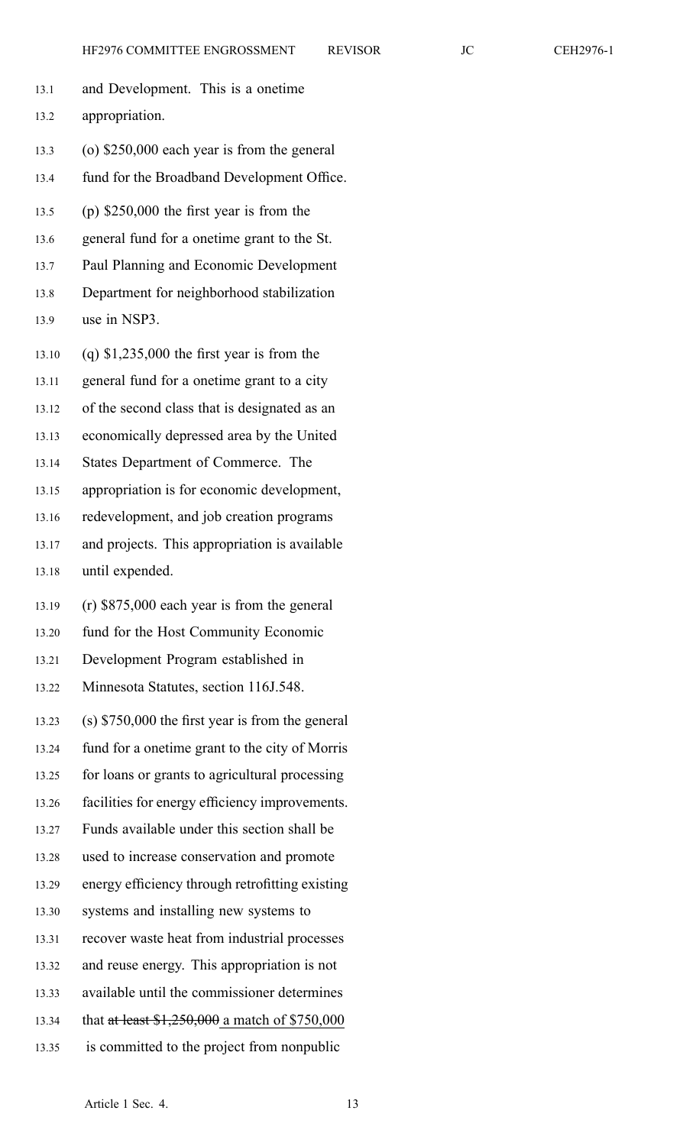- 13.1 and Development. This is <sup>a</sup> onetime 13.2 appropriation. 13.3 (o) \$250,000 each year is from the general 13.4 fund for the Broadband Development Office. 13.5 (p) \$250,000 the first year is from the 13.6 general fund for <sup>a</sup> onetime gran<sup>t</sup> to the St. 13.7 Paul Planning and Economic Development 13.8 Department for neighborhood stabilization 13.9 use in NSP3. 13.10 (q) \$1,235,000 the first year is from the 13.11 general fund for <sup>a</sup> onetime gran<sup>t</sup> to <sup>a</sup> city 13.12 of the second class that is designated as an 13.13 economically depressed area by the United 13.14 States Department of Commerce. The
	- 13.15 appropriation is for economic development,
	- 13.16 redevelopment, and job creation programs
	- 13.17 and projects. This appropriation is available
	- 13.18 until expended.
	- 13.19 (r) \$875,000 each year is from the general
	- 13.20 fund for the Host Community Economic
	- 13.21 Development Program established in
	- 13.22 Minnesota Statutes, section 116J.548.
	- 13.23 (s) \$750,000 the first year is from the general
	- 13.24 fund for <sup>a</sup> onetime gran<sup>t</sup> to the city of Morris
	- 13.25 for loans or grants to agricultural processing
	- 13.26 facilities for energy efficiency improvements.
	- 13.27 Funds available under this section shall be
	- 13.28 used to increase conservation and promote
	- 13.29 energy efficiency through retrofitting existing
	- 13.30 systems and installing new systems to
	- 13.31 recover waste heat from industrial processes
	- 13.32 and reuse energy. This appropriation is not
	- 13.33 available until the commissioner determines
	- 13.34 that at least \$1,250,000 a match of \$750,000
	- 13.35 is committed to the project from nonpublic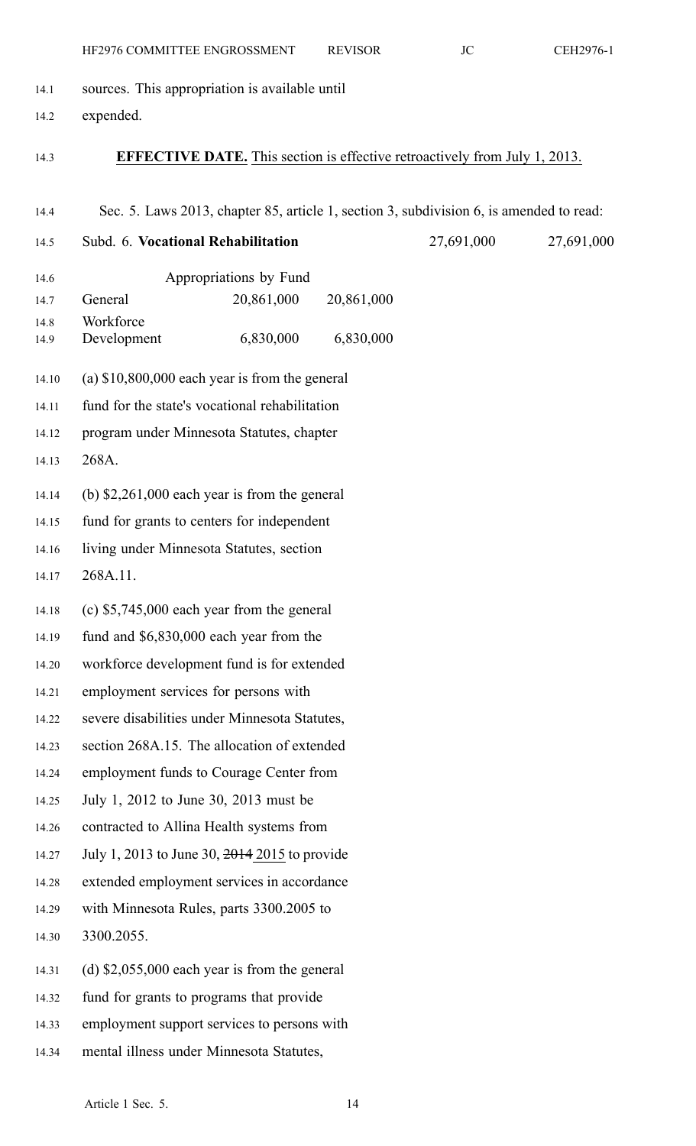| 14.1  | sources. This appropriation is available until                                          |            |            |            |
|-------|-----------------------------------------------------------------------------------------|------------|------------|------------|
| 14.2  | expended.                                                                               |            |            |            |
|       |                                                                                         |            |            |            |
| 14.3  | <b>EFFECTIVE DATE.</b> This section is effective retroactively from July 1, 2013.       |            |            |            |
| 14.4  | Sec. 5. Laws 2013, chapter 85, article 1, section 3, subdivision 6, is amended to read: |            |            |            |
| 14.5  | Subd. 6. Vocational Rehabilitation                                                      |            | 27,691,000 | 27,691,000 |
| 14.6  | Appropriations by Fund                                                                  |            |            |            |
| 14.7  | General<br>20,861,000                                                                   | 20,861,000 |            |            |
| 14.8  | Workforce                                                                               |            |            |            |
| 14.9  | 6,830,000<br>Development                                                                | 6,830,000  |            |            |
| 14.10 | (a) $$10,800,000$ each year is from the general                                         |            |            |            |
| 14.11 | fund for the state's vocational rehabilitation                                          |            |            |            |
| 14.12 | program under Minnesota Statutes, chapter                                               |            |            |            |
| 14.13 | 268A.                                                                                   |            |            |            |
| 14.14 | (b) $$2,261,000$ each year is from the general                                          |            |            |            |
| 14.15 | fund for grants to centers for independent                                              |            |            |            |
| 14.16 | living under Minnesota Statutes, section                                                |            |            |            |
| 14.17 | 268A.11.                                                                                |            |            |            |
| 14.18 | (c) $$5,745,000$ each year from the general                                             |            |            |            |
| 14.19 | fund and \$6,830,000 each year from the                                                 |            |            |            |
| 14.20 | workforce development fund is for extended                                              |            |            |            |
| 14.21 | employment services for persons with                                                    |            |            |            |
| 14.22 | severe disabilities under Minnesota Statutes,                                           |            |            |            |
| 14.23 | section 268A.15. The allocation of extended                                             |            |            |            |
| 14.24 | employment funds to Courage Center from                                                 |            |            |            |
| 14.25 | July 1, 2012 to June 30, 2013 must be                                                   |            |            |            |
| 14.26 | contracted to Allina Health systems from                                                |            |            |            |
| 14.27 | July 1, 2013 to June 30, 2014 2015 to provide                                           |            |            |            |
| 14.28 | extended employment services in accordance                                              |            |            |            |
| 14.29 | with Minnesota Rules, parts 3300.2005 to                                                |            |            |            |
| 14.30 | 3300.2055.                                                                              |            |            |            |
| 14.31 | (d) $$2,055,000$ each year is from the general                                          |            |            |            |
| 14.32 | fund for grants to programs that provide                                                |            |            |            |
| 14.33 | employment support services to persons with                                             |            |            |            |
| 14.34 | mental illness under Minnesota Statutes,                                                |            |            |            |

HF2976 COMMITTEE ENGROSSMENT REVISOR JC CEH2976-1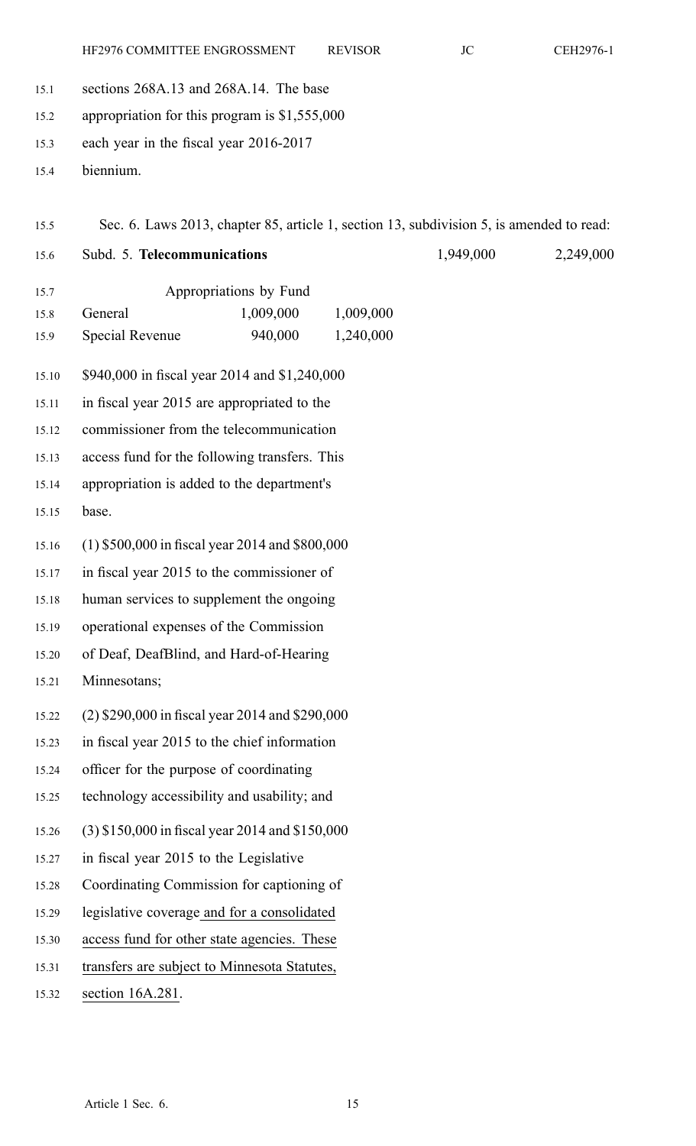- 15.1 sections 268A.13 and 268A.14. The base
- 15.2 appropriation for this program is \$1,555,000
- 15.3 each year in the fiscal year 2016-2017
- 15.4 biennium.
- 15.5 Sec. 6. Laws 2013, chapter 85, article 1, section 13, subdivision 5, is amended to read:
- 

15.6 Subd. 5. **Telecommunications** 1,949,000 2,249,000

- 15.7 Appropriations by Fund 15.8 General 1,009,000 1,009,000 15.9 Special Revenue 940,000 1,240,000
- 15.10 \$940,000 in fiscal year 2014 and \$1,240,000
- 15.11 in fiscal year 2015 are appropriated to the
- 15.12 commissioner from the telecommunication
- 15.13 access fund for the following transfers. This
- 15.14 appropriation is added to the department's
- 15.15 base.
- 15.16 (1) \$500,000 in fiscal year 2014 and \$800,000
- 15.17 in fiscal year 2015 to the commissioner of
- 15.18 human services to supplement the ongoing
- 15.19 operational expenses of the Commission
- 15.20 of Deaf, DeafBlind, and Hard-of-Hearing
- 15.21 Minnesotans;
- 15.22 (2) \$290,000 in fiscal year 2014 and \$290,000
- 15.23 in fiscal year 2015 to the chief information
- 15.24 officer for the purpose of coordinating
- 15.25 technology accessibility and usability; and
- 15.26 (3) \$150,000 in fiscal year 2014 and \$150,000
- 15.27 in fiscal year 2015 to the Legislative
- 15.28 Coordinating Commission for captioning of
- 15.29 legislative coverage and for <sup>a</sup> consolidated
- 15.30 access fund for other state agencies. These
- 15.31 transfers are subject to Minnesota Statutes,
- 15.32 section 16A.281.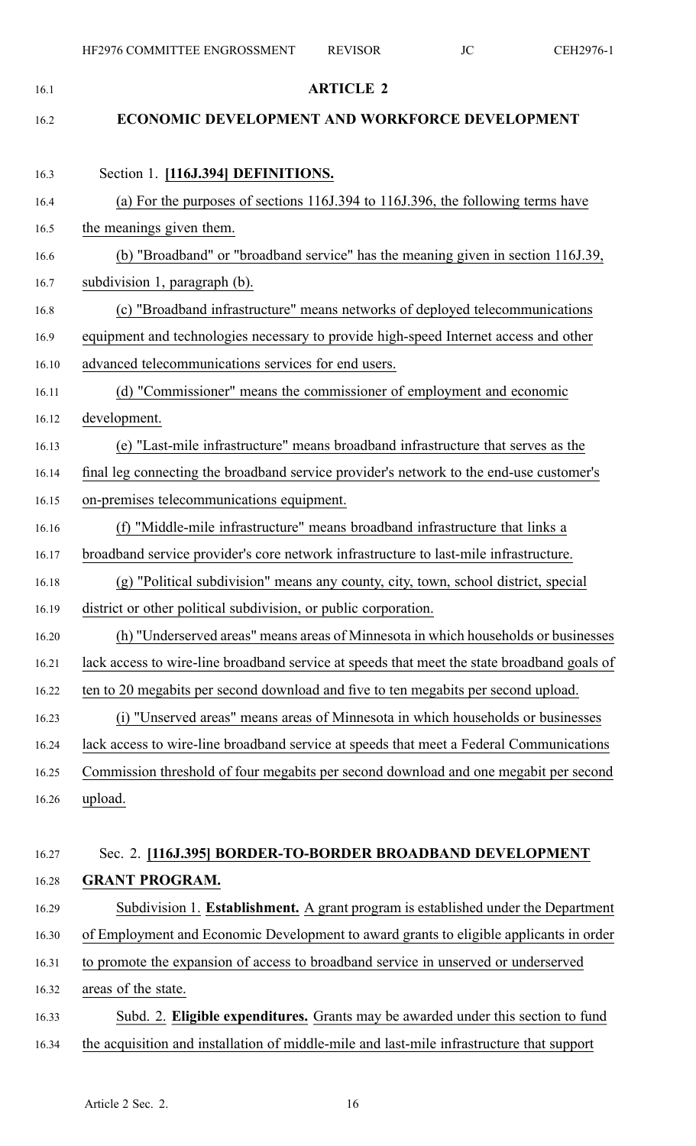| 16.1  | <b>ARTICLE 2</b>                                                                            |
|-------|---------------------------------------------------------------------------------------------|
| 16.2  | ECONOMIC DEVELOPMENT AND WORKFORCE DEVELOPMENT                                              |
| 16.3  | Section 1. [116J.394] DEFINITIONS.                                                          |
| 16.4  | (a) For the purposes of sections 116J.394 to 116J.396, the following terms have             |
| 16.5  | the meanings given them.                                                                    |
| 16.6  | (b) "Broadband" or "broadband service" has the meaning given in section 116J.39,            |
| 16.7  | subdivision 1, paragraph (b).                                                               |
| 16.8  | (c) "Broadband infrastructure" means networks of deployed telecommunications                |
| 16.9  | equipment and technologies necessary to provide high-speed Internet access and other        |
| 16.10 | advanced telecommunications services for end users.                                         |
| 16.11 | (d) "Commissioner" means the commissioner of employment and economic                        |
| 16.12 | development.                                                                                |
| 16.13 | (e) "Last-mile infrastructure" means broadband infrastructure that serves as the            |
| 16.14 | final leg connecting the broadband service provider's network to the end-use customer's     |
| 16.15 | on-premises telecommunications equipment.                                                   |
| 16.16 | (f) "Middle-mile infrastructure" means broadband infrastructure that links a                |
| 16.17 | broadband service provider's core network infrastructure to last-mile infrastructure.       |
| 16.18 | (g) "Political subdivision" means any county, city, town, school district, special          |
| 16.19 | district or other political subdivision, or public corporation.                             |
| 16.20 | (h) "Underserved areas" means areas of Minnesota in which households or businesses          |
| 16.21 | lack access to wire-line broadband service at speeds that meet the state broadband goals of |
| 16.22 | ten to 20 megabits per second download and five to ten megabits per second upload.          |
| 16.23 | (i) "Unserved areas" means areas of Minnesota in which households or businesses             |
| 16.24 | lack access to wire-line broadband service at speeds that meet a Federal Communications     |
| 16.25 | Commission threshold of four megabits per second download and one megabit per second        |
| 16.26 | upload.                                                                                     |
|       |                                                                                             |
| 16.27 | Sec. 2. [116J.395] BORDER-TO-BORDER BROADBAND DEVELOPMENT                                   |
| 16.28 | <b>GRANT PROGRAM.</b>                                                                       |
| 16.29 | Subdivision 1. Establishment. A grant program is established under the Department           |
| 16.30 | of Employment and Economic Development to award grants to eligible applicants in order      |
| 16.31 | to promote the expansion of access to broadband service in unserved or underserved          |
| 16.32 | areas of the state.                                                                         |
| 16.33 | Subd. 2. Eligible expenditures. Grants may be awarded under this section to fund            |
| 16.34 | the acquisition and installation of middle-mile and last-mile infrastructure that support   |
|       |                                                                                             |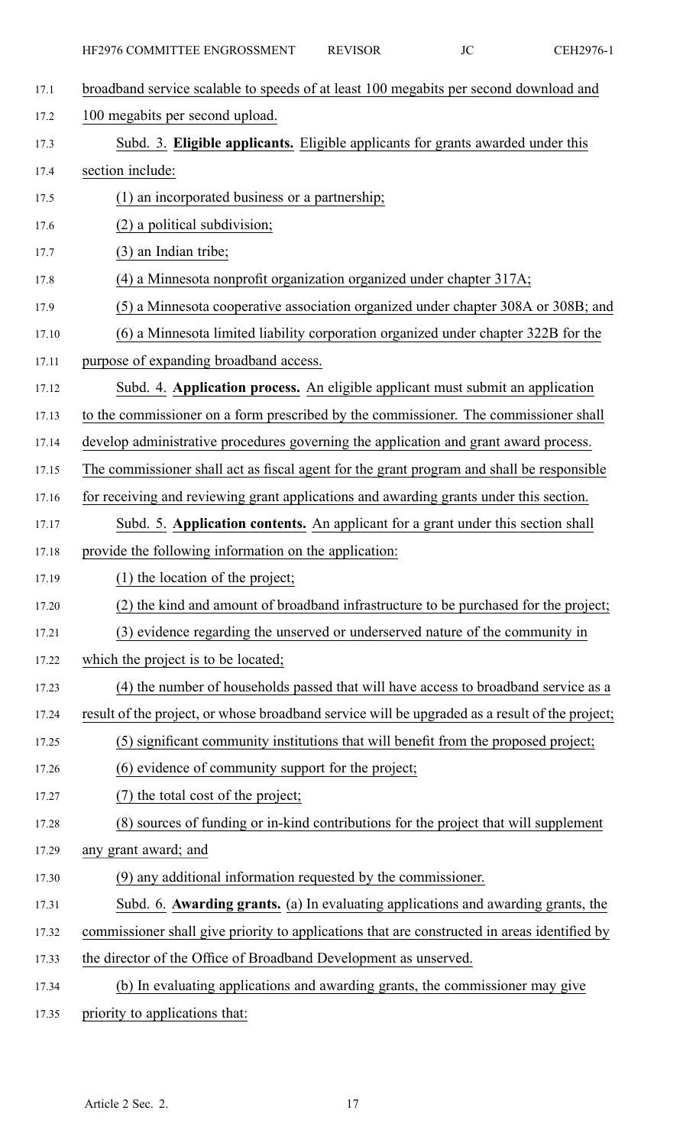17.1 broadband service scalable to speeds of at least 100 megabits per second download and 17.2 100 megabits per second upload. 17.3 Subd. 3. **Eligible applicants.** Eligible applicants for grants awarded under this 17.4 section include: 17.5 (1) an incorporated business or <sup>a</sup> partnership; 17.6 (2) <sup>a</sup> political subdivision; 17.7 (3) an Indian tribe; 17.8 (4) <sup>a</sup> Minnesota nonprofit organization organized under chapter 317A; 17.9 (5) <sup>a</sup> Minnesota cooperative association organized under chapter 308A or 308B; and 17.10 (6) <sup>a</sup> Minnesota limited liability corporation organized under chapter 322B for the 17.11 purpose of expanding broadband access. 17.12 Subd. 4. **Application process.** An eligible applicant must submit an application 17.13 to the commissioner on <sup>a</sup> form prescribed by the commissioner. The commissioner shall 17.14 develop administrative procedures governing the application and gran<sup>t</sup> award process. 17.15 The commissioner shall act as fiscal agen<sup>t</sup> for the gran<sup>t</sup> program and shall be responsible 17.16 for receiving and reviewing grant applications and awarding grants under this section. 17.17 Subd. 5. **Application contents.** An applicant for <sup>a</sup> gran<sup>t</sup> under this section shall 17.18 provide the following information on the application: 17.19 (1) the location of the project; 17.20 (2) the kind and amount of broadband infrastructure to be purchased for the project; 17.21 (3) evidence regarding the unserved or underserved nature of the community in 17.22 which the project is to be located; 17.23 (4) the number of households passed that will have access to broadband service as <sup>a</sup> 17.24 result of the project, or whose broadband service will be upgraded as <sup>a</sup> result of the project; 17.25 (5) significant community institutions that will benefit from the proposed project; 17.26 (6) evidence of community suppor<sup>t</sup> for the project; 17.27 (7) the total cost of the project; 17.28 (8) sources of funding or in-kind contributions for the project that will supplement 17.29 any gran<sup>t</sup> award; and 17.30 (9) any additional information requested by the commissioner. 17.31 Subd. 6. **Awarding grants.** (a) In evaluating applications and awarding grants, the 17.32 commissioner shall give priority to applications that are constructed in areas identified by 17.33 the director of the Office of Broadband Development as unserved. 17.34 (b) In evaluating applications and awarding grants, the commissioner may give 17.35 priority to applications that: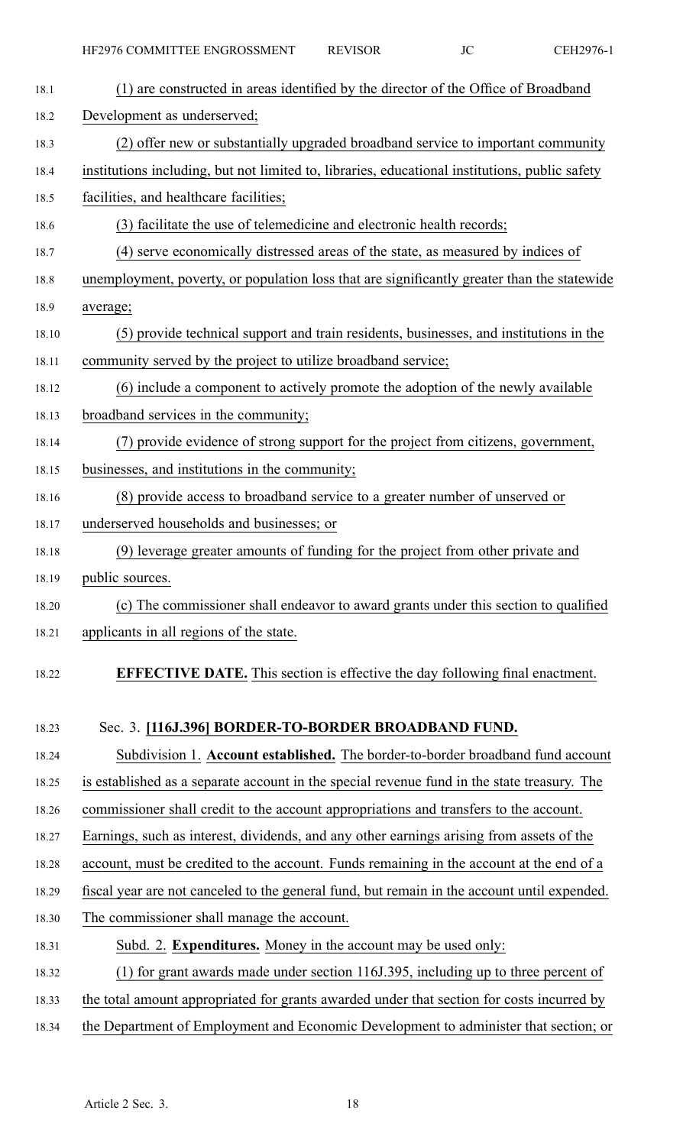| 18.1  | (1) are constructed in areas identified by the director of the Office of Broadband             |
|-------|------------------------------------------------------------------------------------------------|
| 18.2  | Development as underserved;                                                                    |
| 18.3  | (2) offer new or substantially upgraded broadband service to important community               |
| 18.4  | institutions including, but not limited to, libraries, educational institutions, public safety |
| 18.5  | facilities, and healthcare facilities;                                                         |
| 18.6  | (3) facilitate the use of telemedicine and electronic health records;                          |
| 18.7  | (4) serve economically distressed areas of the state, as measured by indices of                |
| 18.8  | unemployment, poverty, or population loss that are significantly greater than the statewide    |
| 18.9  | average;                                                                                       |
| 18.10 | (5) provide technical support and train residents, businesses, and institutions in the         |
| 18.11 | community served by the project to utilize broadband service;                                  |
| 18.12 | (6) include a component to actively promote the adoption of the newly available                |
| 18.13 | broadband services in the community;                                                           |
| 18.14 | (7) provide evidence of strong support for the project from citizens, government,              |
| 18.15 | businesses, and institutions in the community;                                                 |
| 18.16 | (8) provide access to broadband service to a greater number of unserved or                     |
| 18.17 | underserved households and businesses; or                                                      |
| 18.18 | (9) leverage greater amounts of funding for the project from other private and                 |
| 18.19 | public sources.                                                                                |
| 18.20 | (c) The commissioner shall endeavor to award grants under this section to qualified            |
| 18.21 | applicants in all regions of the state.                                                        |
| 18.22 | <b>EFFECTIVE DATE.</b> This section is effective the day following final enactment.            |
| 18.23 | Sec. 3. [116J.396] BORDER-TO-BORDER BROADBAND FUND.                                            |
| 18.24 | Subdivision 1. Account established. The border-to-border broadband fund account                |
| 18.25 | is established as a separate account in the special revenue fund in the state treasury. The    |
| 18.26 | commissioner shall credit to the account appropriations and transfers to the account.          |
| 18.27 | Earnings, such as interest, dividends, and any other earnings arising from assets of the       |
| 18.28 | account, must be credited to the account. Funds remaining in the account at the end of a       |
| 18.29 | fiscal year are not canceled to the general fund, but remain in the account until expended.    |
| 18.30 | The commissioner shall manage the account.                                                     |
| 18.31 | Subd. 2. Expenditures. Money in the account may be used only:                                  |
| 18.32 | (1) for grant awards made under section 116J.395, including up to three percent of             |
| 18.33 | the total amount appropriated for grants awarded under that section for costs incurred by      |

18.34 the Department of Employment and Economic Development to administer that section; or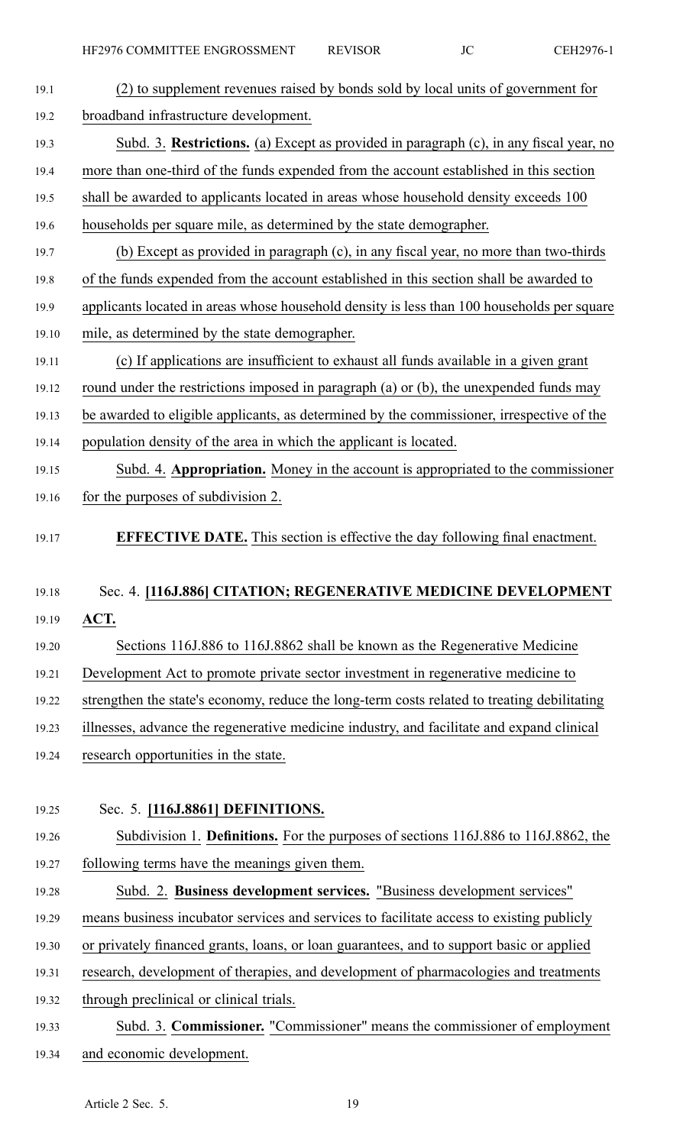| 19.1  | (2) to supplement revenues raised by bonds sold by local units of government for            |
|-------|---------------------------------------------------------------------------------------------|
| 19.2  | broadband infrastructure development.                                                       |
| 19.3  | Subd. 3. Restrictions. (a) Except as provided in paragraph (c), in any fiscal year, no      |
| 19.4  | more than one-third of the funds expended from the account established in this section      |
| 19.5  | shall be awarded to applicants located in areas whose household density exceeds 100         |
| 19.6  | households per square mile, as determined by the state demographer.                         |
| 19.7  | (b) Except as provided in paragraph (c), in any fiscal year, no more than two-thirds        |
| 19.8  | of the funds expended from the account established in this section shall be awarded to      |
| 19.9  | applicants located in areas whose household density is less than 100 households per square  |
| 19.10 | mile, as determined by the state demographer.                                               |
| 19.11 | (c) If applications are insufficient to exhaust all funds available in a given grant        |
| 19.12 | round under the restrictions imposed in paragraph (a) or (b), the unexpended funds may      |
| 19.13 | be awarded to eligible applicants, as determined by the commissioner, irrespective of the   |
| 19.14 | population density of the area in which the applicant is located.                           |
| 19.15 | Subd. 4. Appropriation. Money in the account is appropriated to the commissioner            |
| 19.16 | for the purposes of subdivision 2.                                                          |
| 19.17 | <b>EFFECTIVE DATE.</b> This section is effective the day following final enactment.         |
| 19.18 | Sec. 4. [116J.886] CITATION; REGENERATIVE MEDICINE DEVELOPMENT                              |
| 19.19 | ACT.                                                                                        |
| 19.20 | Sections 116J.886 to 116J.8862 shall be known as the Regenerative Medicine                  |
| 19.21 | Development Act to promote private sector investment in regenerative medicine to            |
| 19.22 | strengthen the state's economy, reduce the long-term costs related to treating debilitating |
| 19.23 | illnesses, advance the regenerative medicine industry, and facilitate and expand clinical   |
| 19.24 | research opportunities in the state.                                                        |
|       |                                                                                             |
| 19.25 | Sec. 5. [116J.8861] DEFINITIONS.                                                            |
| 19.26 | Subdivision 1. Definitions. For the purposes of sections 116J.886 to 116J.8862, the         |
| 19.27 | following terms have the meanings given them.                                               |
| 19.28 | Subd. 2. Business development services. "Business development services"                     |
| 19.29 | means business incubator services and services to facilitate access to existing publicly    |
| 19.30 | or privately financed grants, loans, or loan guarantees, and to support basic or applied    |
| 19.31 | research, development of therapies, and development of pharmacologies and treatments        |
| 19.32 | through preclinical or clinical trials.                                                     |
| 19.33 | Subd. 3. <b>Commissioner.</b> "Commissioner" means the commissioner of employment           |

19.34 and economic development.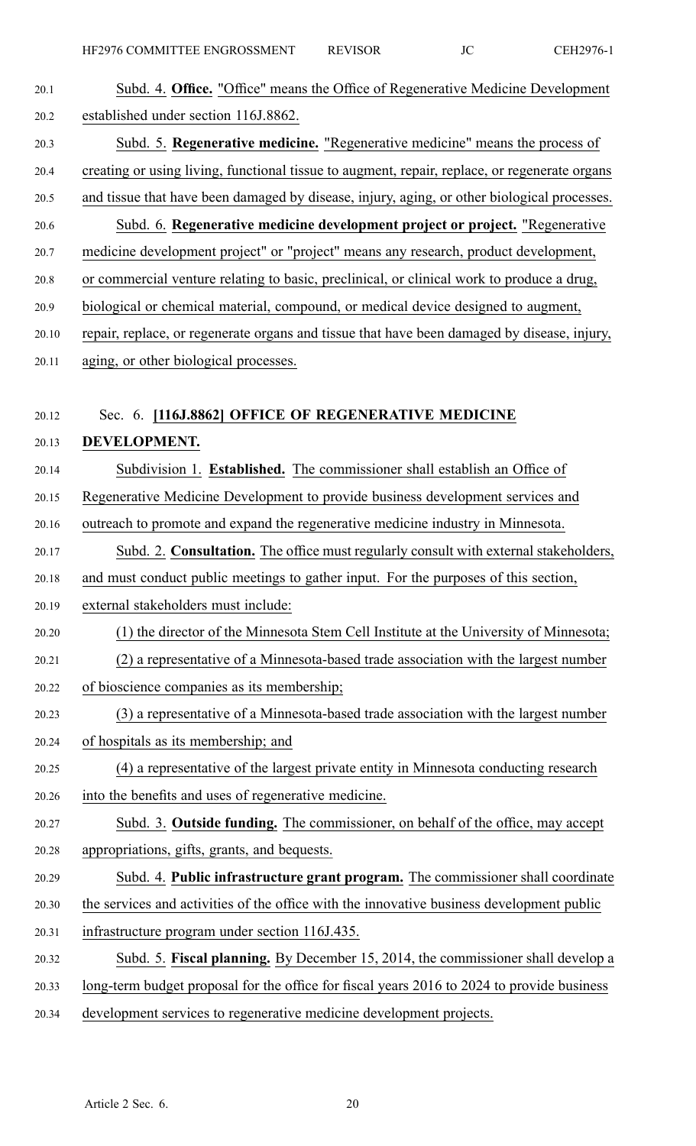| 20.1  | Subd. 4. Office. "Office" means the Office of Regenerative Medicine Development               |
|-------|-----------------------------------------------------------------------------------------------|
| 20.2  | established under section 116J.8862.                                                          |
| 20.3  | Subd. 5. Regenerative medicine. "Regenerative medicine" means the process of                  |
| 20.4  | creating or using living, functional tissue to augment, repair, replace, or regenerate organs |
| 20.5  | and tissue that have been damaged by disease, injury, aging, or other biological processes.   |
| 20.6  | Subd. 6. Regenerative medicine development project or project. "Regenerative                  |
| 20.7  | medicine development project" or "project" means any research, product development,           |
| 20.8  | or commercial venture relating to basic, preclinical, or clinical work to produce a drug,     |
| 20.9  | biological or chemical material, compound, or medical device designed to augment,             |
| 20.10 | repair, replace, or regenerate organs and tissue that have been damaged by disease, injury,   |
| 20.11 | aging, or other biological processes.                                                         |
|       |                                                                                               |
| 20.12 | Sec. 6. [116J.8862] OFFICE OF REGENERATIVE MEDICINE                                           |
| 20.13 | DEVELOPMENT.                                                                                  |
| 20.14 | Subdivision 1. Established. The commissioner shall establish an Office of                     |
| 20.15 | Regenerative Medicine Development to provide business development services and                |
| 20.16 | outreach to promote and expand the regenerative medicine industry in Minnesota.               |
| 20.17 | Subd. 2. Consultation. The office must regularly consult with external stakeholders,          |
| 20.18 | and must conduct public meetings to gather input. For the purposes of this section,           |
| 20.19 | external stakeholders must include:                                                           |
| 20.20 | (1) the director of the Minnesota Stem Cell Institute at the University of Minnesota;         |
| 20.21 | (2) a representative of a Minnesota-based trade association with the largest number           |
| 20.22 | of bioscience companies as its membership;                                                    |
| 20.23 | (3) a representative of a Minnesota-based trade association with the largest number           |
| 20.24 | of hospitals as its membership; and                                                           |
| 20.25 | (4) a representative of the largest private entity in Minnesota conducting research           |
| 20.26 | into the benefits and uses of regenerative medicine.                                          |
| 20.27 | Subd. 3. Outside funding. The commissioner, on behalf of the office, may accept               |
| 20.28 | appropriations, gifts, grants, and bequests.                                                  |
| 20.29 | Subd. 4. Public infrastructure grant program. The commissioner shall coordinate               |
| 20.30 | the services and activities of the office with the innovative business development public     |
| 20.31 | infrastructure program under section 116J.435.                                                |
| 20.32 | Subd. 5. Fiscal planning. By December 15, 2014, the commissioner shall develop a              |
| 20.33 | long-term budget proposal for the office for fiscal years 2016 to 2024 to provide business    |
| 20.34 | development services to regenerative medicine development projects.                           |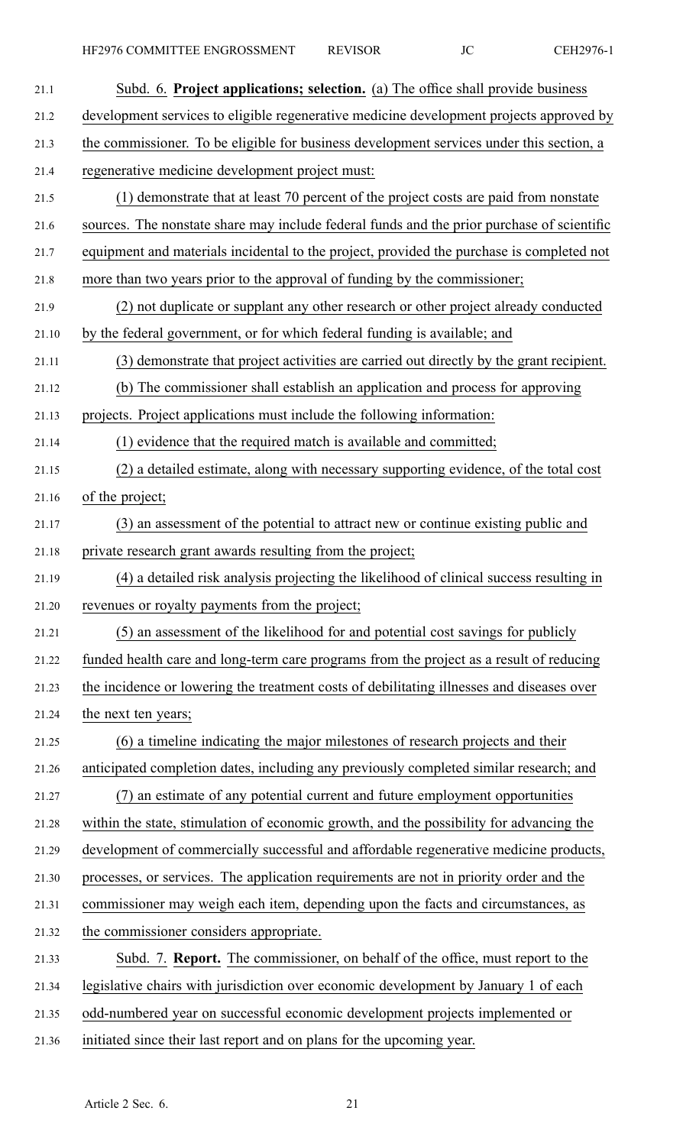| 21.1  | Subd. 6. Project applications; selection. (a) The office shall provide business            |
|-------|--------------------------------------------------------------------------------------------|
| 21.2  | development services to eligible regenerative medicine development projects approved by    |
| 21.3  | the commissioner. To be eligible for business development services under this section, a   |
| 21.4  | regenerative medicine development project must:                                            |
| 21.5  | (1) demonstrate that at least 70 percent of the project costs are paid from nonstate       |
| 21.6  | sources. The nonstate share may include federal funds and the prior purchase of scientific |
| 21.7  | equipment and materials incidental to the project, provided the purchase is completed not  |
| 21.8  | more than two years prior to the approval of funding by the commissioner;                  |
| 21.9  | (2) not duplicate or supplant any other research or other project already conducted        |
| 21.10 | by the federal government, or for which federal funding is available; and                  |
| 21.11 | (3) demonstrate that project activities are carried out directly by the grant recipient.   |
| 21.12 | (b) The commissioner shall establish an application and process for approving              |
| 21.13 | projects. Project applications must include the following information:                     |
| 21.14 | (1) evidence that the required match is available and committed;                           |
| 21.15 | (2) a detailed estimate, along with necessary supporting evidence, of the total cost       |
| 21.16 | of the project;                                                                            |
| 21.17 | (3) an assessment of the potential to attract new or continue existing public and          |
| 21.18 | private research grant awards resulting from the project;                                  |
| 21.19 | (4) a detailed risk analysis projecting the likelihood of clinical success resulting in    |
| 21.20 | revenues or royalty payments from the project;                                             |
| 21.21 | (5) an assessment of the likelihood for and potential cost savings for publicly            |
| 21.22 | funded health care and long-term care programs from the project as a result of reducing    |
| 21.23 | the incidence or lowering the treatment costs of debilitating illnesses and diseases over  |
| 21.24 | the next ten years;                                                                        |
| 21.25 | (6) a timeline indicating the major milestones of research projects and their              |
| 21.26 | anticipated completion dates, including any previously completed similar research; and     |
| 21.27 | (7) an estimate of any potential current and future employment opportunities               |
| 21.28 | within the state, stimulation of economic growth, and the possibility for advancing the    |
| 21.29 | development of commercially successful and affordable regenerative medicine products,      |
| 21.30 | processes, or services. The application requirements are not in priority order and the     |
| 21.31 | commissioner may weigh each item, depending upon the facts and circumstances, as           |
| 21.32 | the commissioner considers appropriate.                                                    |
| 21.33 | Subd. 7. <b>Report.</b> The commissioner, on behalf of the office, must report to the      |
| 21.34 | legislative chairs with jurisdiction over economic development by January 1 of each        |
| 21.35 | odd-numbered year on successful economic development projects implemented or               |
| 21.36 | initiated since their last report and on plans for the upcoming year.                      |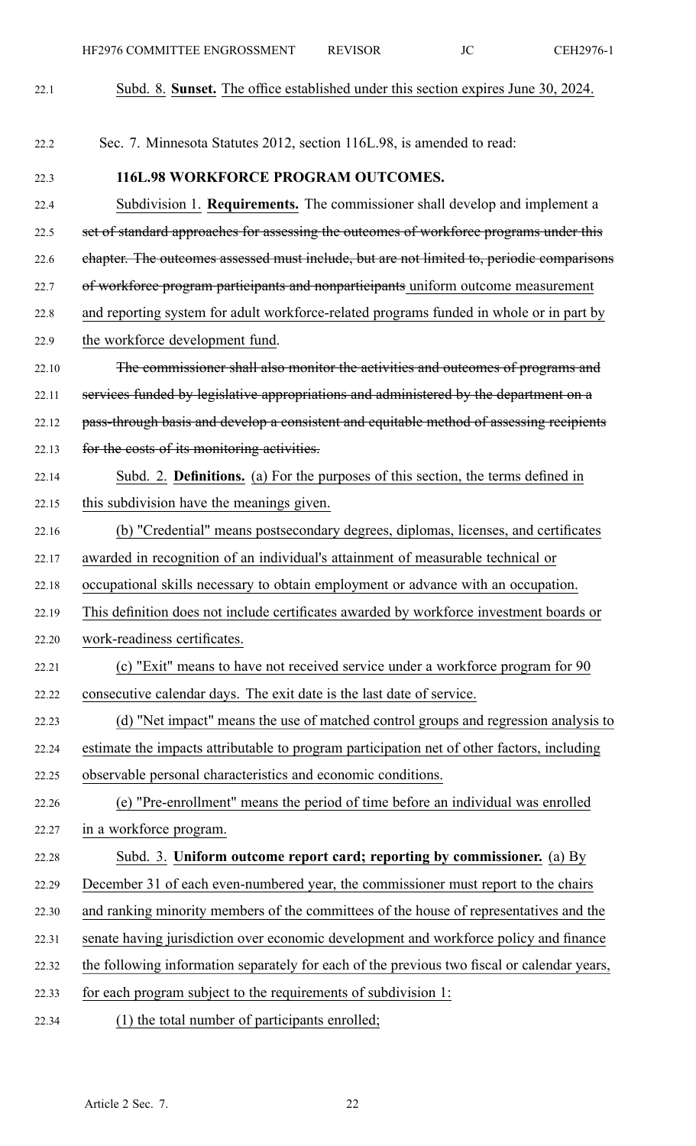| 22.1  | Subd. 8. Sunset. The office established under this section expires June 30, 2024.           |
|-------|---------------------------------------------------------------------------------------------|
|       |                                                                                             |
| 22.2  | Sec. 7. Minnesota Statutes 2012, section 116L.98, is amended to read:                       |
| 22.3  | <b>116L.98 WORKFORCE PROGRAM OUTCOMES.</b>                                                  |
| 22.4  | Subdivision 1. Requirements. The commissioner shall develop and implement a                 |
| 22.5  | set of standard approaches for assessing the outcomes of workforce programs under this      |
| 22.6  | chapter. The outcomes assessed must include, but are not limited to, periodic comparisons   |
| 22.7  | of workforce program participants and nonparticipants uniform outcome measurement           |
| 22.8  | and reporting system for adult workforce-related programs funded in whole or in part by     |
| 22.9  | the workforce development fund.                                                             |
| 22.10 | The commissioner shall also monitor the activities and outcomes of programs and             |
| 22.11 | services funded by legislative appropriations and administered by the department on a       |
| 22.12 | pass-through basis and develop a consistent and equitable method of assessing recipients    |
| 22.13 | for the costs of its monitoring activities.                                                 |
| 22.14 | Subd. 2. Definitions. (a) For the purposes of this section, the terms defined in            |
| 22.15 | this subdivision have the meanings given.                                                   |
| 22.16 | (b) "Credential" means postsecondary degrees, diplomas, licenses, and certificates          |
| 22.17 | awarded in recognition of an individual's attainment of measurable technical or             |
| 22.18 | occupational skills necessary to obtain employment or advance with an occupation.           |
| 22.19 | This definition does not include certificates awarded by workforce investment boards or     |
| 22.20 | work-readiness certificates.                                                                |
| 22.21 | (c) "Exit" means to have not received service under a workforce program for 90              |
| 22.22 | consecutive calendar days. The exit date is the last date of service.                       |
| 22.23 | (d) "Net impact" means the use of matched control groups and regression analysis to         |
| 22.24 | estimate the impacts attributable to program participation net of other factors, including  |
| 22.25 | observable personal characteristics and economic conditions.                                |
| 22.26 | (e) "Pre-enrollment" means the period of time before an individual was enrolled             |
| 22.27 | in a workforce program.                                                                     |
| 22.28 | Subd. 3. Uniform outcome report card; reporting by commissioner. (a) By                     |
| 22.29 | December 31 of each even-numbered year, the commissioner must report to the chairs          |
| 22.30 | and ranking minority members of the committees of the house of representatives and the      |
| 22.31 | senate having jurisdiction over economic development and workforce policy and finance       |
| 22.32 | the following information separately for each of the previous two fiscal or calendar years, |
| 22.33 | for each program subject to the requirements of subdivision 1:                              |
| 22.34 | (1) the total number of participants enrolled;                                              |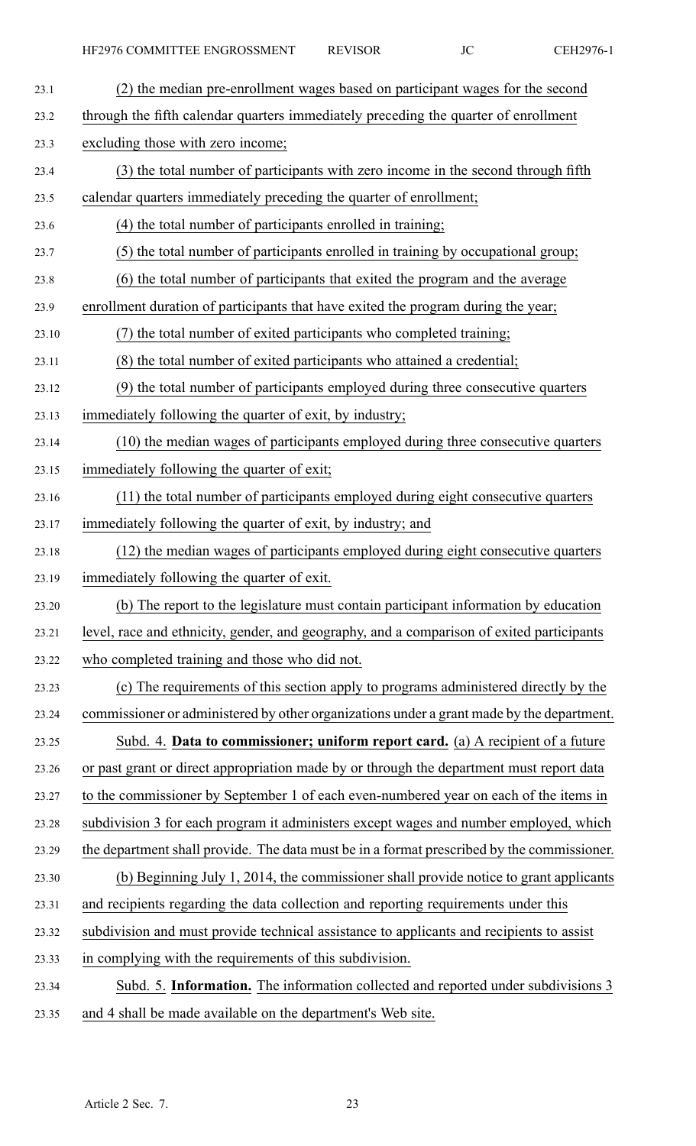| 23.1  | (2) the median pre-enrollment wages based on participant wages for the second              |
|-------|--------------------------------------------------------------------------------------------|
| 23.2  | through the fifth calendar quarters immediately preceding the quarter of enrollment        |
| 23.3  | excluding those with zero income;                                                          |
| 23.4  | (3) the total number of participants with zero income in the second through fifth          |
| 23.5  | calendar quarters immediately preceding the quarter of enrollment;                         |
| 23.6  | (4) the total number of participants enrolled in training;                                 |
| 23.7  | (5) the total number of participants enrolled in training by occupational group;           |
| 23.8  | (6) the total number of participants that exited the program and the average               |
| 23.9  | enrollment duration of participants that have exited the program during the year;          |
| 23.10 | (7) the total number of exited participants who completed training;                        |
| 23.11 | (8) the total number of exited participants who attained a credential;                     |
| 23.12 | (9) the total number of participants employed during three consecutive quarters            |
| 23.13 | immediately following the quarter of exit, by industry;                                    |
| 23.14 | (10) the median wages of participants employed during three consecutive quarters           |
| 23.15 | immediately following the quarter of exit;                                                 |
| 23.16 | (11) the total number of participants employed during eight consecutive quarters           |
| 23.17 | immediately following the quarter of exit, by industry; and                                |
| 23.18 | (12) the median wages of participants employed during eight consecutive quarters           |
| 23.19 | immediately following the quarter of exit.                                                 |
| 23.20 | (b) The report to the legislature must contain participant information by education        |
| 23.21 | level, race and ethnicity, gender, and geography, and a comparison of exited participants  |
| 23.22 | who completed training and those who did not.                                              |
| 23.23 | (c) The requirements of this section apply to programs administered directly by the        |
| 23.24 | commissioner or administered by other organizations under a grant made by the department.  |
| 23.25 | Subd. 4. Data to commissioner; uniform report card. (a) A recipient of a future            |
| 23.26 | or past grant or direct appropriation made by or through the department must report data   |
| 23.27 | to the commissioner by September 1 of each even-numbered year on each of the items in      |
| 23.28 | subdivision 3 for each program it administers except wages and number employed, which      |
| 23.29 | the department shall provide. The data must be in a format prescribed by the commissioner. |
| 23.30 | (b) Beginning July 1, 2014, the commissioner shall provide notice to grant applicants      |
| 23.31 | and recipients regarding the data collection and reporting requirements under this         |
| 23.32 | subdivision and must provide technical assistance to applicants and recipients to assist   |
| 23.33 | in complying with the requirements of this subdivision.                                    |
| 23.34 | Subd. 5. Information. The information collected and reported under subdivisions 3          |
| 23.35 | and 4 shall be made available on the department's Web site.                                |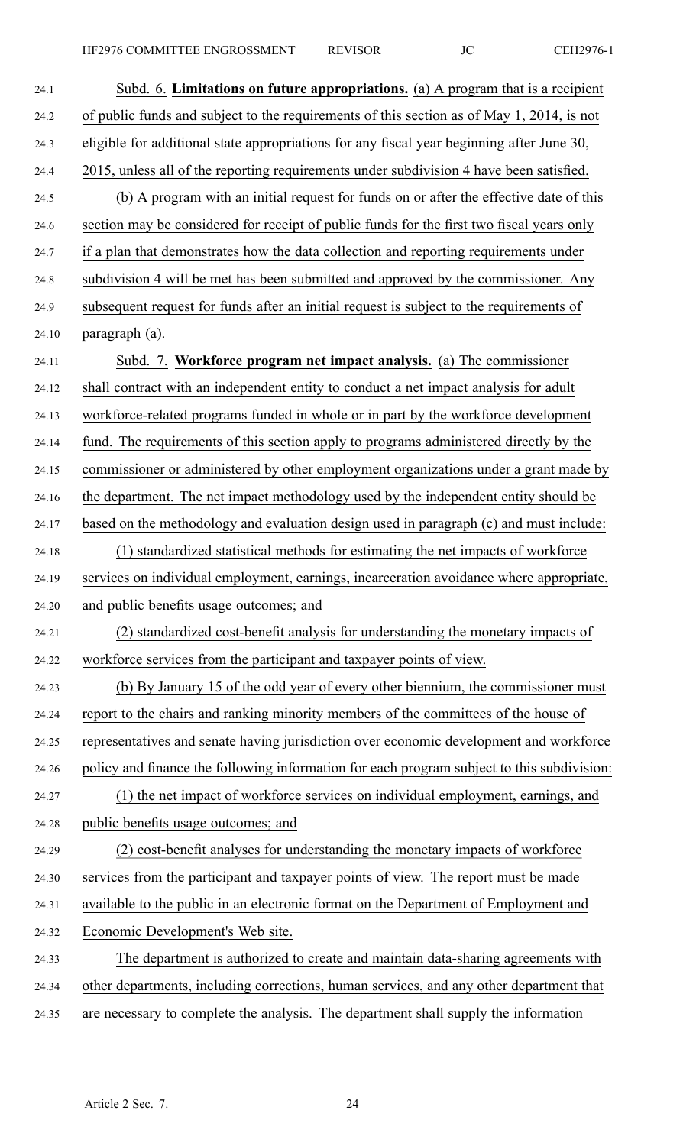| 24.1  | Subd. 6. Limitations on future appropriations. (a) A program that is a recipient           |
|-------|--------------------------------------------------------------------------------------------|
| 24.2  | of public funds and subject to the requirements of this section as of May 1, 2014, is not  |
| 24.3  | eligible for additional state appropriations for any fiscal year beginning after June 30,  |
| 24.4  | 2015, unless all of the reporting requirements under subdivision 4 have been satisfied.    |
| 24.5  | (b) A program with an initial request for funds on or after the effective date of this     |
| 24.6  | section may be considered for receipt of public funds for the first two fiscal years only  |
| 24.7  | if a plan that demonstrates how the data collection and reporting requirements under       |
| 24.8  | subdivision 4 will be met has been submitted and approved by the commissioner. Any         |
| 24.9  | subsequent request for funds after an initial request is subject to the requirements of    |
| 24.10 | paragraph (a).                                                                             |
| 24.11 | Subd. 7. Workforce program net impact analysis. (a) The commissioner                       |
| 24.12 | shall contract with an independent entity to conduct a net impact analysis for adult       |
| 24.13 | workforce-related programs funded in whole or in part by the workforce development         |
| 24.14 | fund. The requirements of this section apply to programs administered directly by the      |
| 24.15 | commissioner or administered by other employment organizations under a grant made by       |
| 24.16 | the department. The net impact methodology used by the independent entity should be        |
| 24.17 | based on the methodology and evaluation design used in paragraph (c) and must include:     |
| 24.18 | (1) standardized statistical methods for estimating the net impacts of workforce           |
| 24.19 | services on individual employment, earnings, incarceration avoidance where appropriate,    |
| 24.20 | and public benefits usage outcomes; and                                                    |
| 24.21 | (2) standardized cost-benefit analysis for understanding the monetary impacts of           |
| 24.22 | workforce services from the participant and taxpayer points of view.                       |
| 24.23 | (b) By January 15 of the odd year of every other biennium, the commissioner must           |
| 24.24 | report to the chairs and ranking minority members of the committees of the house of        |
| 24.25 | representatives and senate having jurisdiction over economic development and workforce     |
| 24.26 | policy and finance the following information for each program subject to this subdivision: |
| 24.27 | (1) the net impact of workforce services on individual employment, earnings, and           |
| 24.28 | public benefits usage outcomes; and                                                        |
| 24.29 | (2) cost-benefit analyses for understanding the monetary impacts of workforce              |
| 24.30 | services from the participant and taxpayer points of view. The report must be made         |
| 24.31 | available to the public in an electronic format on the Department of Employment and        |
| 24.32 | Economic Development's Web site.                                                           |
| 24.33 | The department is authorized to create and maintain data-sharing agreements with           |
| 24.34 | other departments, including corrections, human services, and any other department that    |
| 24.35 | are necessary to complete the analysis. The department shall supply the information        |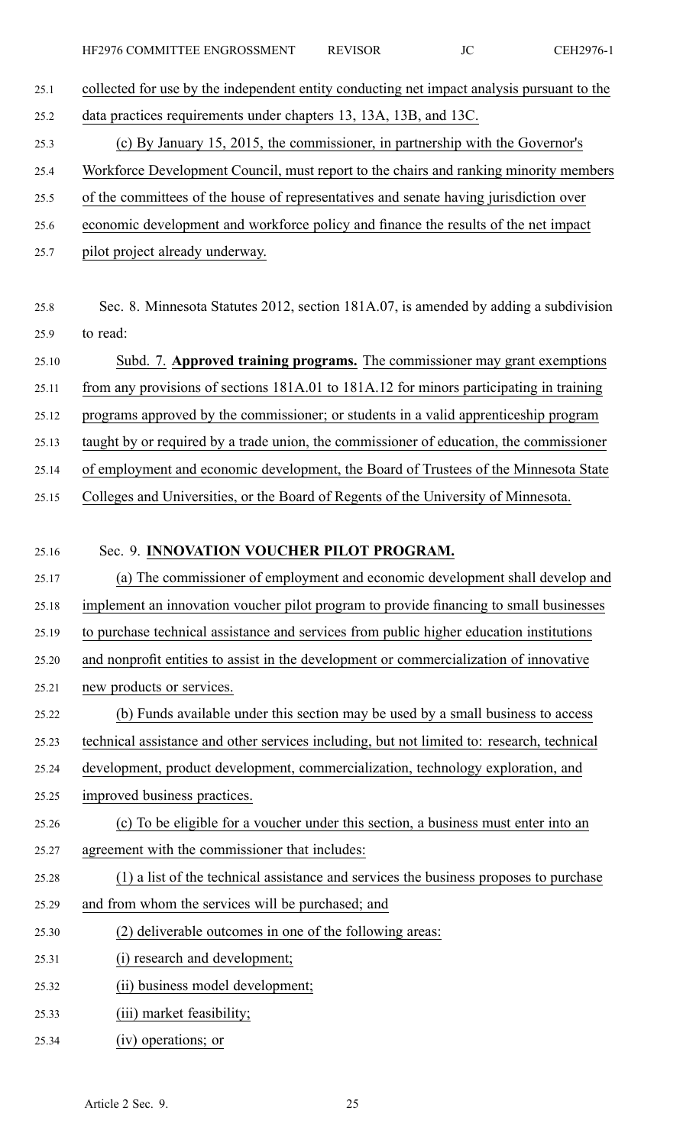- 25.1 collected for use by the independent entity conducting net impact analysis pursuan<sup>t</sup> to the 25.2 data practices requirements under chapters 13, 13A, 13B, and 13C.
- 25.3 (c) By January 15, 2015, the commissioner, in partnership with the Governor's
- 25.4 Workforce Development Council, must repor<sup>t</sup> to the chairs and ranking minority members
- 25.5 of the committees of the house of representatives and senate having jurisdiction over
- 25.6 economic development and workforce policy and finance the results of the net impact
- 25.7 pilot project already underway.
- 25.8 Sec. 8. Minnesota Statutes 2012, section 181A.07, is amended by adding <sup>a</sup> subdivision 25.9 to read:
- 25.10 Subd. 7. **Approved training programs.** The commissioner may gran<sup>t</sup> exemptions
- 25.11 from any provisions of sections 181A.01 to 181A.12 for minors participating in training
- 25.12 programs approved by the commissioner; or students in <sup>a</sup> valid apprenticeship program
- 25.13 taught by or required by <sup>a</sup> trade union, the commissioner of education, the commissioner
- 25.14 of employment and economic development, the Board of Trustees of the Minnesota State
- 25.15 Colleges and Universities, or the Board of Regents of the University of Minnesota.

## 25.16 Sec. 9. **INNOVATION VOUCHER PILOT PROGRAM.**

- 25.17 (a) The commissioner of employment and economic development shall develop and 25.18 implement an innovation voucher pilot program to provide financing to small businesses 25.19 to purchase technical assistance and services from public higher education institutions 25.20 and nonprofit entities to assist in the development or commercialization of innovative 25.21 new products or services. 25.22 (b) Funds available under this section may be used by <sup>a</sup> small business to access 25.23 technical assistance and other services including, but not limited to: research, technical 25.24 development, product development, commercialization, technology exploration, and 25.25 improved business practices. 25.26 (c) To be eligible for <sup>a</sup> voucher under this section, <sup>a</sup> business must enter into an 25.27 agreemen<sup>t</sup> with the commissioner that includes:
- 25.28 (1) <sup>a</sup> list of the technical assistance and services the business proposes to purchase
- 25.29 and from whom the services will be purchased; and
- 25.30 (2) deliverable outcomes in one of the following areas:
- 25.31 (i) research and development;
- 25.32 (ii) business model development;
- 25.33 (iii) market feasibility;
- 25.34 (iv) operations; or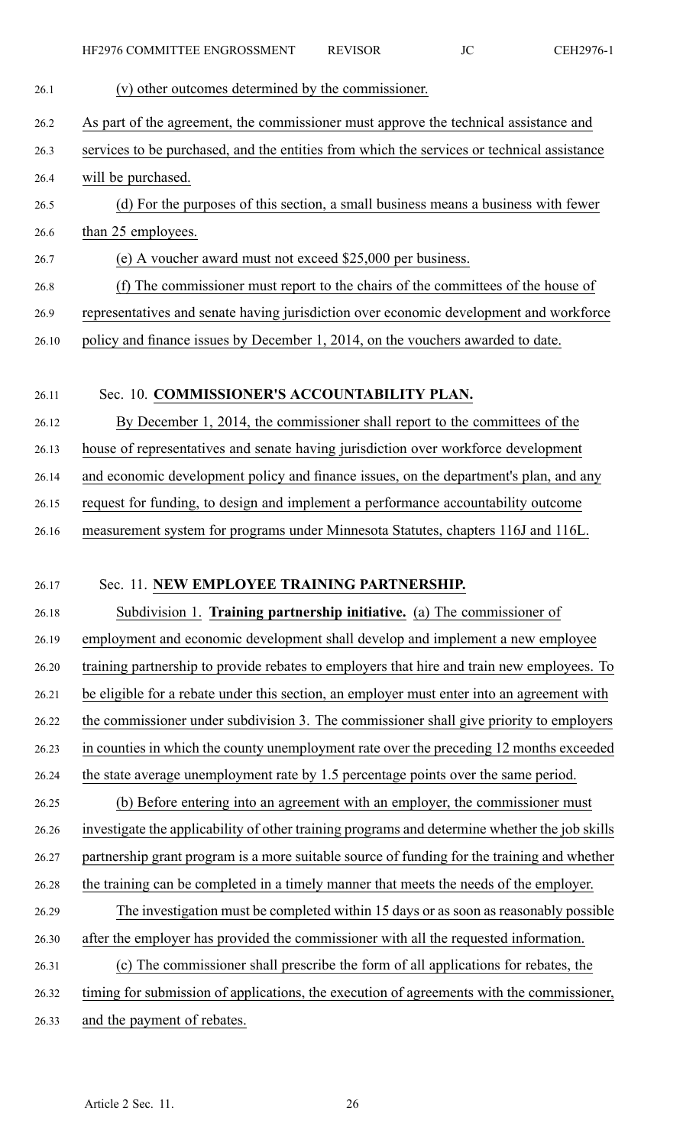| 26.1  | (v) other outcomes determined by the commissioner.                                            |
|-------|-----------------------------------------------------------------------------------------------|
| 26.2  | As part of the agreement, the commissioner must approve the technical assistance and          |
| 26.3  | services to be purchased, and the entities from which the services or technical assistance    |
| 26.4  | will be purchased.                                                                            |
| 26.5  | (d) For the purposes of this section, a small business means a business with fewer            |
| 26.6  | than 25 employees.                                                                            |
| 26.7  | (e) A voucher award must not exceed \$25,000 per business.                                    |
| 26.8  | (f) The commissioner must report to the chairs of the committees of the house of              |
| 26.9  | representatives and senate having jurisdiction over economic development and workforce        |
| 26.10 | policy and finance issues by December 1, 2014, on the vouchers awarded to date.               |
| 26.11 | Sec. 10. COMMISSIONER'S ACCOUNTABILITY PLAN.                                                  |
| 26.12 | By December 1, 2014, the commissioner shall report to the committees of the                   |
| 26.13 | house of representatives and senate having jurisdiction over workforce development            |
| 26.14 | and economic development policy and finance issues, on the department's plan, and any         |
| 26.15 | request for funding, to design and implement a performance accountability outcome             |
| 26.16 | measurement system for programs under Minnesota Statutes, chapters 116J and 116L.             |
| 26.17 | Sec. 11. NEW EMPLOYEE TRAINING PARTNERSHIP.                                                   |
| 26.18 | Subdivision 1. Training partnership initiative. (a) The commissioner of                       |
| 26.19 | employment and economic development shall develop and implement a new employee                |
| 26.20 | training partnership to provide rebates to employers that hire and train new employees. To    |
| 26.21 | be eligible for a rebate under this section, an employer must enter into an agreement with    |
| 26.22 | the commissioner under subdivision 3. The commissioner shall give priority to employers       |
| 26.23 | in counties in which the county unemployment rate over the preceding 12 months exceeded       |
| 26.24 | the state average unemployment rate by 1.5 percentage points over the same period.            |
| 26.25 | (b) Before entering into an agreement with an employer, the commissioner must                 |
| 26.26 | investigate the applicability of other training programs and determine whether the job skills |
| 26.27 | partnership grant program is a more suitable source of funding for the training and whether   |
| 26.28 | the training can be completed in a timely manner that meets the needs of the employer.        |
| 26.29 | The investigation must be completed within 15 days or as soon as reasonably possible          |
| 26.30 | after the employer has provided the commissioner with all the requested information.          |
| 26.31 | (c) The commissioner shall prescribe the form of all applications for rebates, the            |
| 26.32 | timing for submission of applications, the execution of agreements with the commissioner,     |
| 26.33 | and the payment of rebates.                                                                   |
|       |                                                                                               |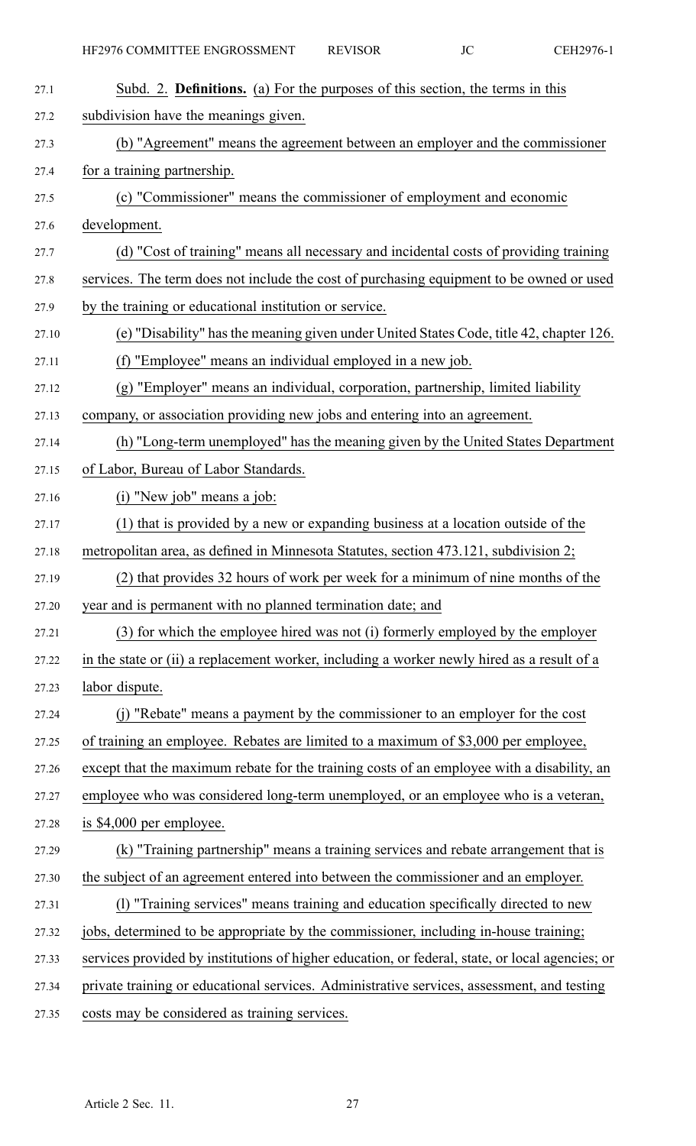| 27.1  | Subd. 2. <b>Definitions.</b> (a) For the purposes of this section, the terms in this            |
|-------|-------------------------------------------------------------------------------------------------|
| 27.2  | subdivision have the meanings given.                                                            |
| 27.3  | (b) "Agreement" means the agreement between an employer and the commissioner                    |
| 27.4  | for a training partnership.                                                                     |
| 27.5  | (c) "Commissioner" means the commissioner of employment and economic                            |
| 27.6  | development.                                                                                    |
| 27.7  | (d) "Cost of training" means all necessary and incidental costs of providing training           |
| 27.8  | services. The term does not include the cost of purchasing equipment to be owned or used        |
| 27.9  | by the training or educational institution or service.                                          |
| 27.10 | (e) "Disability" has the meaning given under United States Code, title 42, chapter 126.         |
| 27.11 | (f) "Employee" means an individual employed in a new job.                                       |
| 27.12 | (g) "Employer" means an individual, corporation, partnership, limited liability                 |
| 27.13 | company, or association providing new jobs and entering into an agreement.                      |
| 27.14 | (h) "Long-term unemployed" has the meaning given by the United States Department                |
| 27.15 | of Labor, Bureau of Labor Standards.                                                            |
| 27.16 | (i) "New job" means a job:                                                                      |
| 27.17 | (1) that is provided by a new or expanding business at a location outside of the                |
| 27.18 | metropolitan area, as defined in Minnesota Statutes, section 473.121, subdivision 2;            |
| 27.19 | (2) that provides 32 hours of work per week for a minimum of nine months of the                 |
| 27.20 | year and is permanent with no planned termination date; and                                     |
| 27.21 | (3) for which the employee hired was not (i) formerly employed by the employer                  |
| 27.22 | in the state or (ii) a replacement worker, including a worker newly hired as a result of a      |
| 27.23 | labor dispute.                                                                                  |
| 27.24 | (j) "Rebate" means a payment by the commissioner to an employer for the cost                    |
| 27.25 | of training an employee. Rebates are limited to a maximum of \$3,000 per employee,              |
| 27.26 | except that the maximum rebate for the training costs of an employee with a disability, an      |
| 27.27 | employee who was considered long-term unemployed, or an employee who is a veteran,              |
| 27.28 | is \$4,000 per employee.                                                                        |
| 27.29 | (k) "Training partnership" means a training services and rebate arrangement that is             |
| 27.30 | the subject of an agreement entered into between the commissioner and an employer.              |
| 27.31 | (1) "Training services" means training and education specifically directed to new               |
| 27.32 | jobs, determined to be appropriate by the commissioner, including in-house training;            |
| 27.33 | services provided by institutions of higher education, or federal, state, or local agencies; or |
| 27.34 | private training or educational services. Administrative services, assessment, and testing      |
| 27.35 | costs may be considered as training services.                                                   |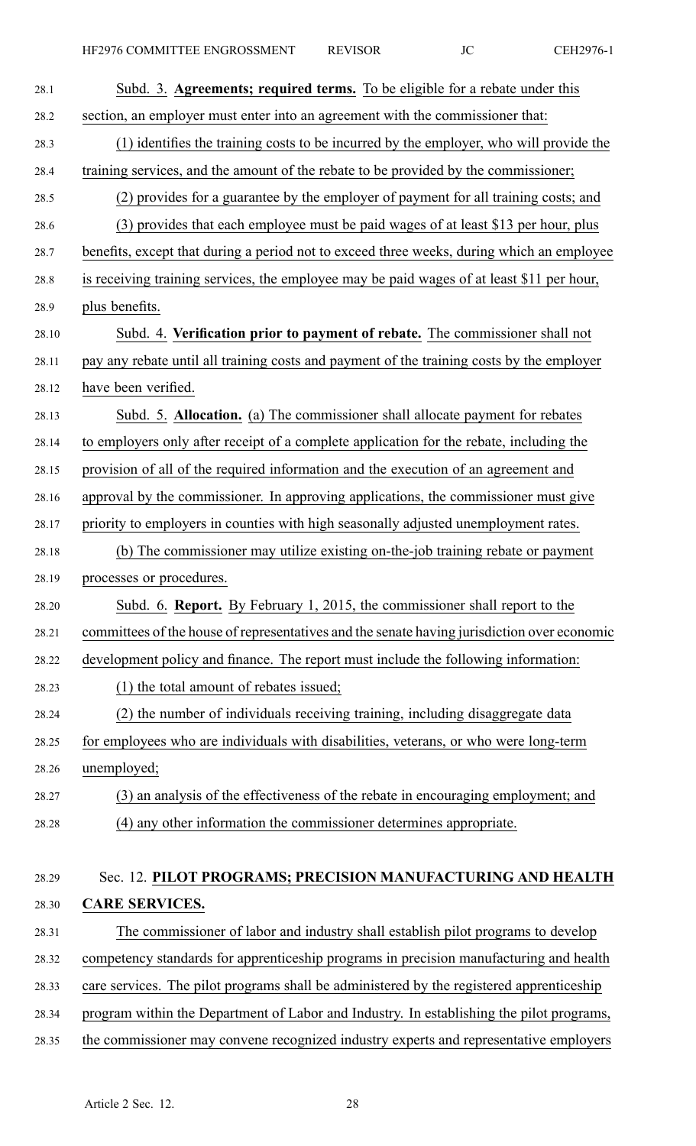| 28.1  | Subd. 3. Agreements; required terms. To be eligible for a rebate under this                 |
|-------|---------------------------------------------------------------------------------------------|
| 28.2  | section, an employer must enter into an agreement with the commissioner that:               |
| 28.3  | (1) identifies the training costs to be incurred by the employer, who will provide the      |
| 28.4  | training services, and the amount of the rebate to be provided by the commissioner;         |
| 28.5  | (2) provides for a guarantee by the employer of payment for all training costs; and         |
| 28.6  | (3) provides that each employee must be paid wages of at least \$13 per hour, plus          |
| 28.7  | benefits, except that during a period not to exceed three weeks, during which an employee   |
| 28.8  | is receiving training services, the employee may be paid wages of at least \$11 per hour,   |
| 28.9  | plus benefits.                                                                              |
| 28.10 | Subd. 4. Verification prior to payment of rebate. The commissioner shall not                |
| 28.11 | pay any rebate until all training costs and payment of the training costs by the employer   |
| 28.12 | have been verified.                                                                         |
| 28.13 | Subd. 5. Allocation. (a) The commissioner shall allocate payment for rebates                |
| 28.14 | to employers only after receipt of a complete application for the rebate, including the     |
| 28.15 | provision of all of the required information and the execution of an agreement and          |
| 28.16 | approval by the commissioner. In approving applications, the commissioner must give         |
| 28.17 | priority to employers in counties with high seasonally adjusted unemployment rates.         |
| 28.18 | (b) The commissioner may utilize existing on-the-job training rebate or payment             |
| 28.19 | processes or procedures                                                                     |
| 28.20 | Subd. 6. Report. By February 1, 2015, the commissioner shall report to the                  |
| 28.21 | committees of the house of representatives and the senate having jurisdiction over economic |
| 28.22 | development policy and finance. The report must include the following information:          |
| 28.23 | (1) the total amount of rebates issued;                                                     |
| 28.24 | (2) the number of individuals receiving training, including disaggregate data               |
| 28.25 | for employees who are individuals with disabilities, veterans, or who were long-term        |
| 28.26 | unemployed;                                                                                 |
| 28.27 | (3) an analysis of the effectiveness of the rebate in encouraging employment; and           |
| 28.28 | (4) any other information the commissioner determines appropriate.                          |
|       |                                                                                             |
| 28.29 | Sec. 12. PILOT PROGRAMS; PRECISION MANUFACTURING AND HEALTH                                 |
| 28.30 | <b>CARE SERVICES.</b>                                                                       |
| 28.31 | The commissioner of labor and industry shall establish pilot programs to develop            |
| 28.32 | competency standards for apprenticeship programs in precision manufacturing and health      |
| 28.33 | care services. The pilot programs shall be administered by the registered apprenticeship    |
| 28.34 | program within the Department of Labor and Industry. In establishing the pilot programs,    |
| 28.35 | the commissioner may convene recognized industry experts and representative employers       |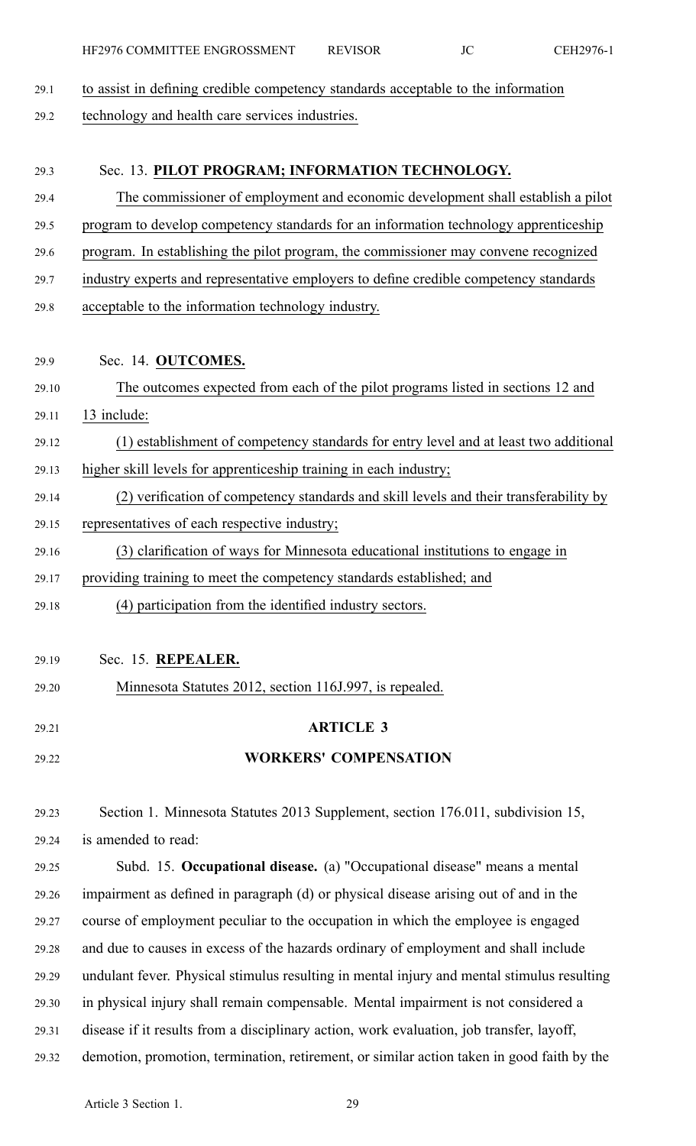| HF2976 COMMITTEE ENGROSSMENT | <b>REVISOR</b> |  | CEH2976-1 |
|------------------------------|----------------|--|-----------|
|------------------------------|----------------|--|-----------|

- 29.1 to assist in defining credible competency standards acceptable to the information
- 29.2 technology and health care services industries.

| 29.3  | Sec. 13. PILOT PROGRAM; INFORMATION TECHNOLOGY.                                        |
|-------|----------------------------------------------------------------------------------------|
| 29.4  | The commissioner of employment and economic development shall establish a pilot        |
| 29.5  | program to develop competency standards for an information technology apprenticeship   |
| 29.6  | program. In establishing the pilot program, the commissioner may convene recognized    |
| 29.7  | industry experts and representative employers to define credible competency standards  |
| 29.8  | acceptable to the information technology industry.                                     |
|       |                                                                                        |
| 29.9  | Sec. 14. OUTCOMES.                                                                     |
| 29.10 | The outcomes expected from each of the pilot programs listed in sections 12 and        |
| 29.11 | 13 include:                                                                            |
| 29.12 | (1) establishment of competency standards for entry level and at least two additional  |
| 29.13 | higher skill levels for apprenticeship training in each industry;                      |
| 29.14 | (2) verification of competency standards and skill levels and their transferability by |
| 29.15 | representatives of each respective industry;                                           |
| 29.16 | (3) clarification of ways for Minnesota educational institutions to engage in          |
| 29.17 | providing training to meet the competency standards established; and                   |
| 29.18 | (4) participation from the identified industry sectors.                                |
|       |                                                                                        |
| 29.19 | Sec. 15. REPEALER                                                                      |
| 29.20 | Minnesota Statutes 2012, section 116J.997, is repealed.                                |
| 29.21 | <b>ARTICLE 3</b>                                                                       |
|       | <b>WORKERS' COMPENSATION</b>                                                           |
| 29.22 |                                                                                        |
| 29.23 | Section 1. Minnesota Statutes 2013 Supplement, section 176.011, subdivision 15,        |
| 29.24 | is amended to read:                                                                    |
|       |                                                                                        |

29.25 Subd. 15. **Occupational disease.** (a) "Occupational disease" means <sup>a</sup> mental 29.26 impairment as defined in paragraph (d) or physical disease arising out of and in the 29.27 course of employment peculiar to the occupation in which the employee is engaged 29.28 and due to causes in excess of the hazards ordinary of employment and shall include 29.29 undulant fever. Physical stimulus resulting in mental injury and mental stimulus resulting 29.30 in physical injury shall remain compensable. Mental impairment is not considered <sup>a</sup> 29.31 disease if it results from <sup>a</sup> disciplinary action, work evaluation, job transfer, layoff, 29.32 demotion, promotion, termination, retirement, or similar action taken in good faith by the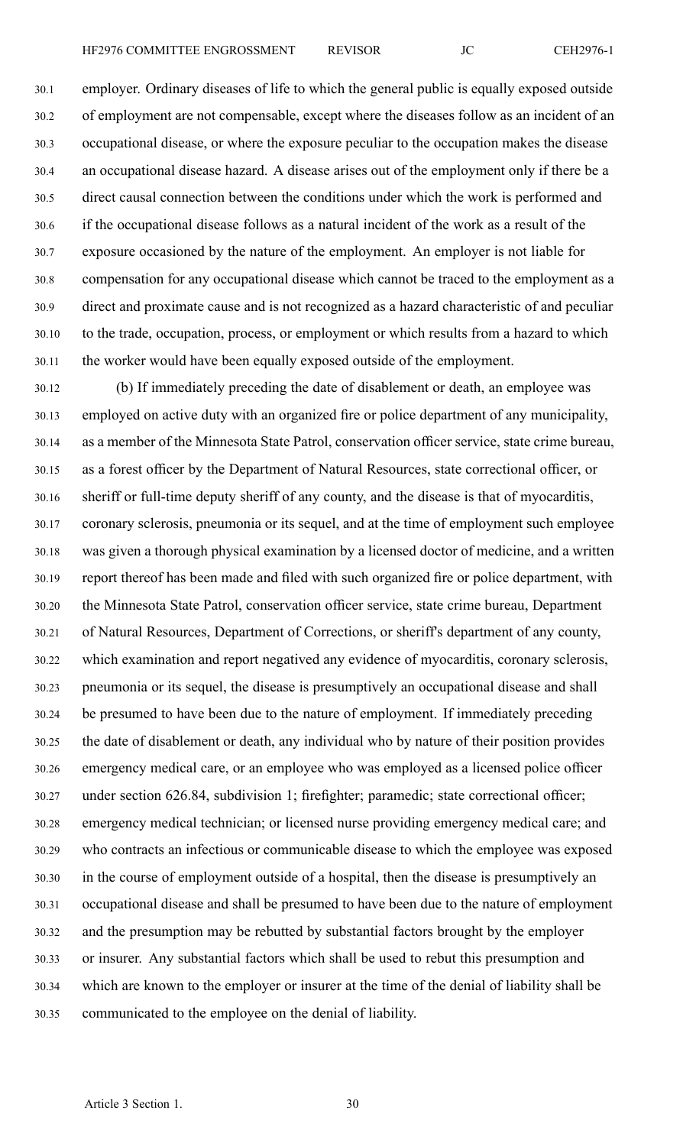30.1 employer. Ordinary diseases of life to which the general public is equally exposed outside 30.2 of employment are not compensable, excep<sup>t</sup> where the diseases follow as an incident of an 30.3 occupational disease, or where the exposure peculiar to the occupation makes the disease 30.4 an occupational disease hazard. A disease arises out of the employment only if there be <sup>a</sup> 30.5 direct causal connection between the conditions under which the work is performed and 30.6 if the occupational disease follows as <sup>a</sup> natural incident of the work as <sup>a</sup> result of the 30.7 exposure occasioned by the nature of the employment. An employer is not liable for 30.8 compensation for any occupational disease which cannot be traced to the employment as <sup>a</sup> 30.9 direct and proximate cause and is not recognized as <sup>a</sup> hazard characteristic of and peculiar 30.10 to the trade, occupation, process, or employment or which results from <sup>a</sup> hazard to which 30.11 the worker would have been equally exposed outside of the employment.

30.12 (b) If immediately preceding the date of disablement or death, an employee was 30.13 employed on active duty with an organized fire or police department of any municipality, 30.14 as <sup>a</sup> member of the Minnesota State Patrol, conservation officer service, state crime bureau, 30.15 as <sup>a</sup> forest officer by the Department of Natural Resources, state correctional officer, or 30.16 sheriff or full-time deputy sheriff of any county, and the disease is that of myocarditis, 30.17 coronary sclerosis, pneumonia or its sequel, and at the time of employment such employee 30.18 was given <sup>a</sup> thorough physical examination by <sup>a</sup> licensed doctor of medicine, and <sup>a</sup> written 30.19 repor<sup>t</sup> thereof has been made and filed with such organized fire or police department, with 30.20 the Minnesota State Patrol, conservation officer service, state crime bureau, Department 30.21 of Natural Resources, Department of Corrections, or sheriff's department of any county, 30.22 which examination and repor<sup>t</sup> negatived any evidence of myocarditis, coronary sclerosis, 30.23 pneumonia or its sequel, the disease is presumptively an occupational disease and shall 30.24 be presumed to have been due to the nature of employment. If immediately preceding 30.25 the date of disablement or death, any individual who by nature of their position provides 30.26 emergency medical care, or an employee who was employed as <sup>a</sup> licensed police officer 30.27 under section 626.84, subdivision 1; firefighter; paramedic; state correctional officer; 30.28 emergency medical technician; or licensed nurse providing emergency medical care; and 30.29 who contracts an infectious or communicable disease to which the employee was exposed 30.30 in the course of employment outside of <sup>a</sup> hospital, then the disease is presumptively an 30.31 occupational disease and shall be presumed to have been due to the nature of employment 30.32 and the presumption may be rebutted by substantial factors brought by the employer 30.33 or insurer. Any substantial factors which shall be used to rebut this presumption and 30.34 which are known to the employer or insurer at the time of the denial of liability shall be 30.35 communicated to the employee on the denial of liability.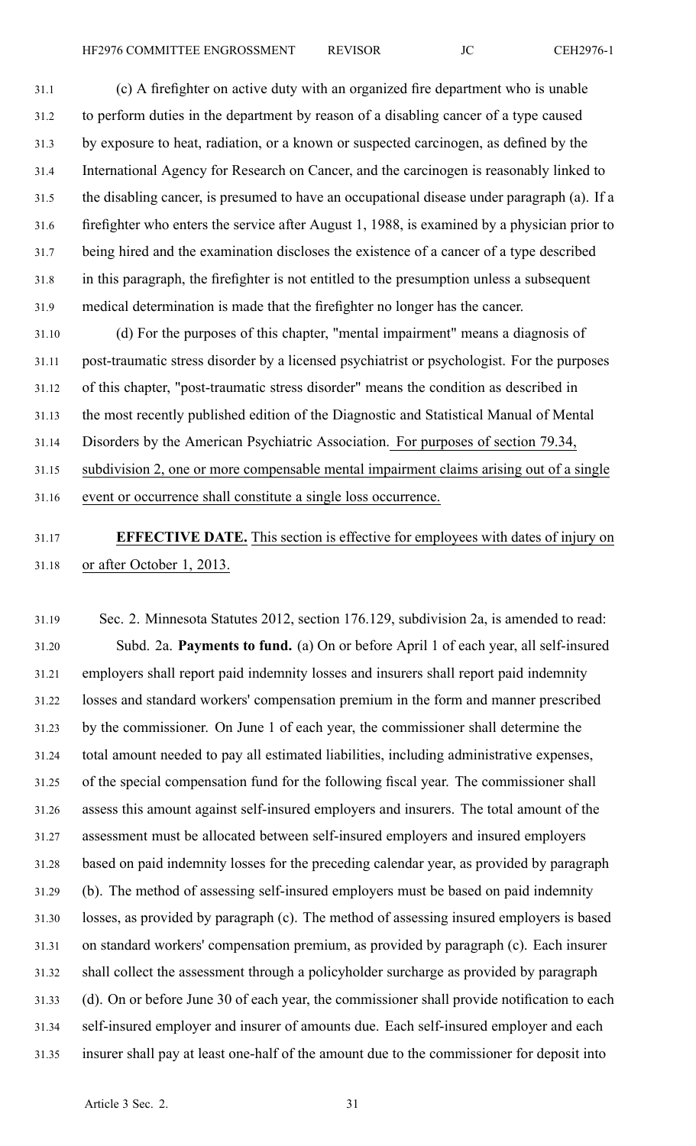31.1 (c) A firefighter on active duty with an organized fire department who is unable 31.2 to perform duties in the department by reason of <sup>a</sup> disabling cancer of <sup>a</sup> type caused 31.3 by exposure to heat, radiation, or <sup>a</sup> known or suspected carcinogen, as defined by the 31.4 International Agency for Research on Cancer, and the carcinogen is reasonably linked to 31.5 the disabling cancer, is presumed to have an occupational disease under paragraph (a). If <sup>a</sup> 31.6 firefighter who enters the service after August 1, 1988, is examined by <sup>a</sup> physician prior to 31.7 being hired and the examination discloses the existence of <sup>a</sup> cancer of <sup>a</sup> type described 31.8 in this paragraph, the firefighter is not entitled to the presumption unless <sup>a</sup> subsequent 31.9 medical determination is made that the firefighter no longer has the cancer.

31.10 (d) For the purposes of this chapter, "mental impairment" means <sup>a</sup> diagnosis of 31.11 post-traumatic stress disorder by <sup>a</sup> licensed psychiatrist or psychologist. For the purposes 31.12 of this chapter, "post-traumatic stress disorder" means the condition as described in 31.13 the most recently published edition of the Diagnostic and Statistical Manual of Mental 31.14 Disorders by the American Psychiatric Association. For purposes of section 79.34, 31.15 subdivision 2, one or more compensable mental impairment claims arising out of <sup>a</sup> single 31.16 event or occurrence shall constitute <sup>a</sup> single loss occurrence.

## 31.17 **EFFECTIVE DATE.** This section is effective for employees with dates of injury on 31.18 or after October 1, 2013.

31.19 Sec. 2. Minnesota Statutes 2012, section 176.129, subdivision 2a, is amended to read: 31.20 Subd. 2a. **Payments to fund.** (a) On or before April 1 of each year, all self-insured 31.21 employers shall repor<sup>t</sup> paid indemnity losses and insurers shall repor<sup>t</sup> paid indemnity 31.22 losses and standard workers' compensation premium in the form and manner prescribed 31.23 by the commissioner. On June 1 of each year, the commissioner shall determine the 31.24 total amount needed to pay all estimated liabilities, including administrative expenses, 31.25 of the special compensation fund for the following fiscal year. The commissioner shall 31.26 assess this amount against self-insured employers and insurers. The total amount of the 31.27 assessment must be allocated between self-insured employers and insured employers 31.28 based on paid indemnity losses for the preceding calendar year, as provided by paragraph 31.29 (b). The method of assessing self-insured employers must be based on paid indemnity 31.30 losses, as provided by paragraph (c). The method of assessing insured employers is based 31.31 on standard workers' compensation premium, as provided by paragraph (c). Each insurer 31.32 shall collect the assessment through <sup>a</sup> policyholder surcharge as provided by paragraph 31.33 (d). On or before June 30 of each year, the commissioner shall provide notification to each 31.34 self-insured employer and insurer of amounts due. Each self-insured employer and each 31.35 insurer shall pay at least one-half of the amount due to the commissioner for deposit into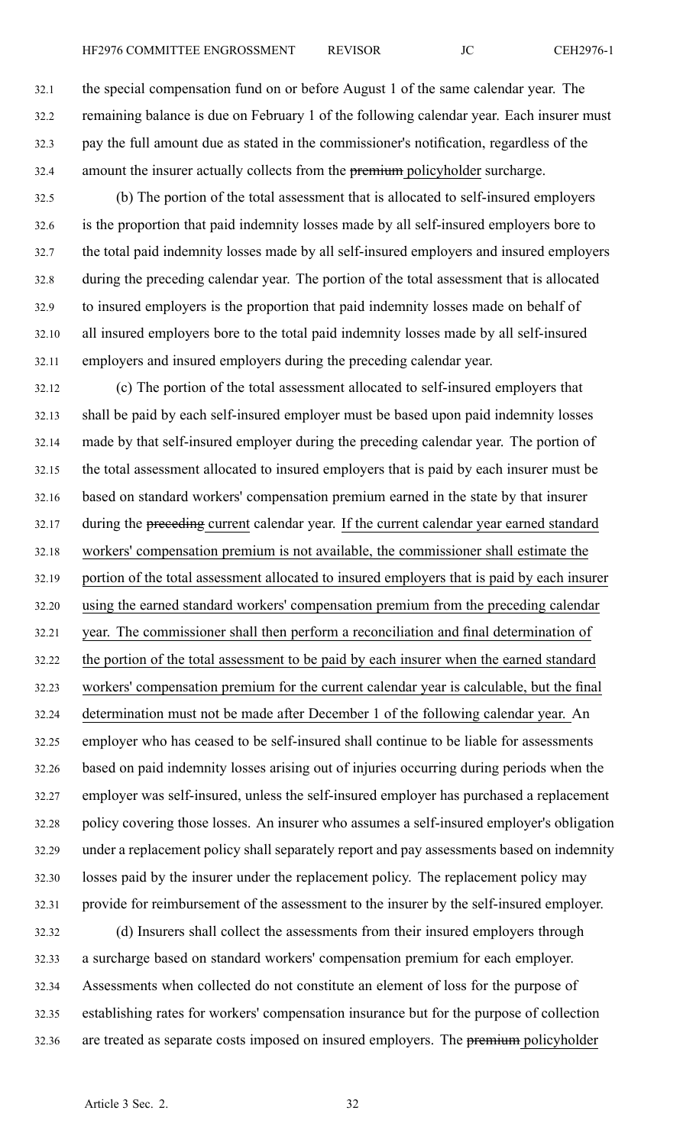32.1 the special compensation fund on or before August 1 of the same calendar year. The 32.2 remaining balance is due on February 1 of the following calendar year. Each insurer must 32.3 pay the full amount due as stated in the commissioner's notification, regardless of the 32.4 amount the insurer actually collects from the premium policyholder surcharge.

32.5 (b) The portion of the total assessment that is allocated to self-insured employers 32.6 is the proportion that paid indemnity losses made by all self-insured employers bore to 32.7 the total paid indemnity losses made by all self-insured employers and insured employers 32.8 during the preceding calendar year. The portion of the total assessment that is allocated 32.9 to insured employers is the proportion that paid indemnity losses made on behalf of 32.10 all insured employers bore to the total paid indemnity losses made by all self-insured 32.11 employers and insured employers during the preceding calendar year.

32.12 (c) The portion of the total assessment allocated to self-insured employers that 32.13 shall be paid by each self-insured employer must be based upon paid indemnity losses 32.14 made by that self-insured employer during the preceding calendar year. The portion of 32.15 the total assessment allocated to insured employers that is paid by each insurer must be 32.16 based on standard workers' compensation premium earned in the state by that insurer 32.17 during the preceding current calendar year. If the current calendar year earned standard 32.18 workers' compensation premium is not available, the commissioner shall estimate the 32.19 portion of the total assessment allocated to insured employers that is paid by each insurer 32.20 using the earned standard workers' compensation premium from the preceding calendar 32.21 year. The commissioner shall then perform <sup>a</sup> reconciliation and final determination of 32.22 the portion of the total assessment to be paid by each insurer when the earned standard 32.23 workers' compensation premium for the current calendar year is calculable, but the final 32.24 determination must not be made after December 1 of the following calendar year. An 32.25 employer who has ceased to be self-insured shall continue to be liable for assessments 32.26 based on paid indemnity losses arising out of injuries occurring during periods when the 32.27 employer was self-insured, unless the self-insured employer has purchased <sup>a</sup> replacement 32.28 policy covering those losses. An insurer who assumes <sup>a</sup> self-insured employer's obligation 32.29 under <sup>a</sup> replacement policy shall separately repor<sup>t</sup> and pay assessments based on indemnity 32.30 losses paid by the insurer under the replacement policy. The replacement policy may 32.31 provide for reimbursement of the assessment to the insurer by the self-insured employer.

32.32 (d) Insurers shall collect the assessments from their insured employers through 32.33 <sup>a</sup> surcharge based on standard workers' compensation premium for each employer. 32.34 Assessments when collected do not constitute an element of loss for the purpose of 32.35 establishing rates for workers' compensation insurance but for the purpose of collection 32.36 are treated as separate costs imposed on insured employers. The premium policyholder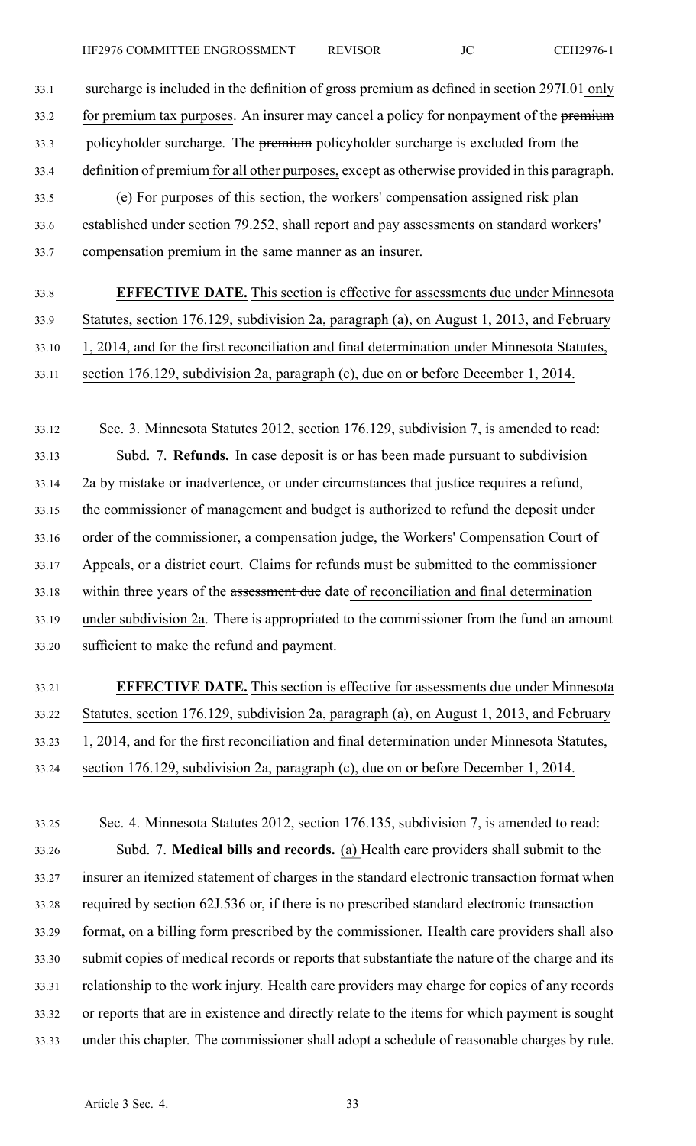33.1 surcharge is included in the definition of gross premium as defined in section 297I.01 only 33.2 for premium tax purposes. An insurer may cancel a policy for nonpayment of the premium 33.3 policyholder surcharge. The premium policyholder surcharge is excluded from the 33.4 definition of premium for all other purposes, excep<sup>t</sup> as otherwise provided in this paragraph. 33.5 (e) For purposes of this section, the workers' compensation assigned risk plan 33.6 established under section 79.252, shall repor<sup>t</sup> and pay assessments on standard workers' 33.7 compensation premium in the same manner as an insurer.

33.8 **EFFECTIVE DATE.** This section is effective for assessments due under Minnesota 33.9 Statutes, section 176.129, subdivision 2a, paragraph (a), on August 1, 2013, and February 33.10 1, 2014, and for the first reconciliation and final determination under Minnesota Statutes, 33.11 section 176.129, subdivision 2a, paragraph (c), due on or before December 1, 2014.

33.12 Sec. 3. Minnesota Statutes 2012, section 176.129, subdivision 7, is amended to read: 33.13 Subd. 7. **Refunds.** In case deposit is or has been made pursuan<sup>t</sup> to subdivision 33.14 2a by mistake or inadvertence, or under circumstances that justice requires <sup>a</sup> refund, 33.15 the commissioner of managemen<sup>t</sup> and budget is authorized to refund the deposit under 33.16 order of the commissioner, <sup>a</sup> compensation judge, the Workers' Compensation Court of 33.17 Appeals, or <sup>a</sup> district court. Claims for refunds must be submitted to the commissioner 33.18 within three years of the assessment due date of reconciliation and final determination 33.19 under subdivision 2a. There is appropriated to the commissioner from the fund an amount 33.20 sufficient to make the refund and payment.

# 33.21 **EFFECTIVE DATE.** This section is effective for assessments due under Minnesota 33.22 Statutes, section 176.129, subdivision 2a, paragraph (a), on August 1, 2013, and February 33.23 1, 2014, and for the first reconciliation and final determination under Minnesota Statutes, 33.24 section 176.129, subdivision 2a, paragraph (c), due on or before December 1, 2014.

33.25 Sec. 4. Minnesota Statutes 2012, section 176.135, subdivision 7, is amended to read: 33.26 Subd. 7. **Medical bills and records.** (a) Health care providers shall submit to the 33.27 insurer an itemized statement of charges in the standard electronic transaction format when 33.28 required by section 62J.536 or, if there is no prescribed standard electronic transaction 33.29 format, on <sup>a</sup> billing form prescribed by the commissioner. Health care providers shall also 33.30 submit copies of medical records or reports that substantiate the nature of the charge and its 33.31 relationship to the work injury. Health care providers may charge for copies of any records 33.32 or reports that are in existence and directly relate to the items for which paymen<sup>t</sup> is sought 33.33 under this chapter. The commissioner shall adopt <sup>a</sup> schedule of reasonable charges by rule.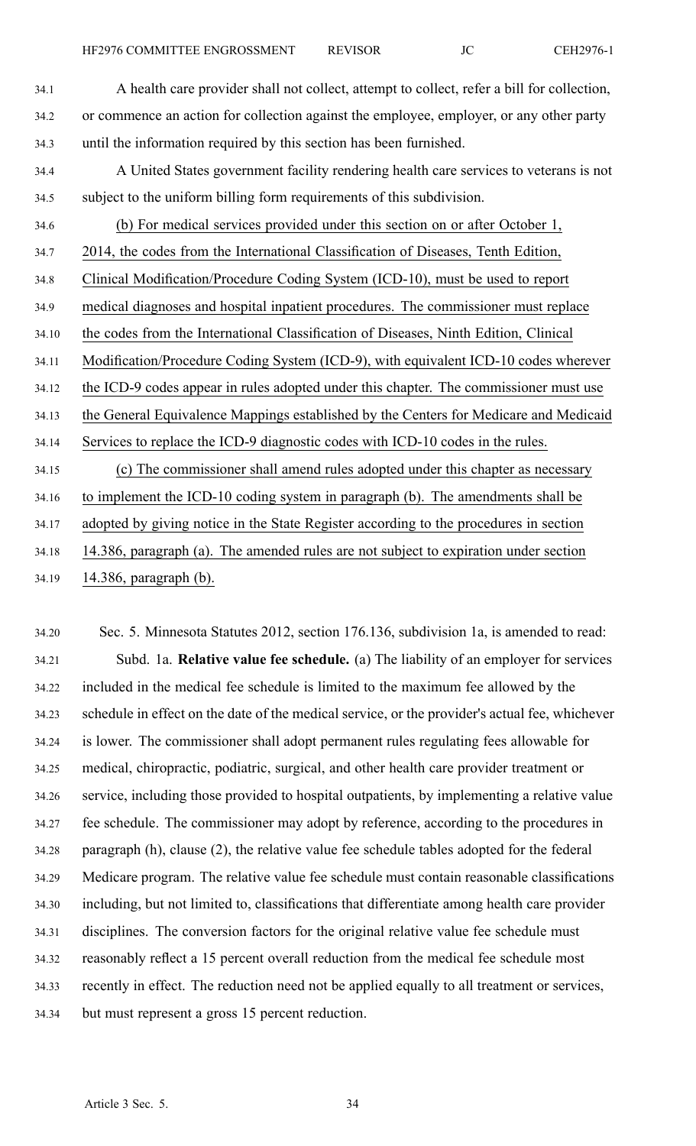| 34.2  | or commence an action for collection against the employee, employer, or any other party<br>until the information required by this section has been furnished.<br>A United States government facility rendering health care services to veterans is not |
|-------|--------------------------------------------------------------------------------------------------------------------------------------------------------------------------------------------------------------------------------------------------------|
|       |                                                                                                                                                                                                                                                        |
| 34.3  |                                                                                                                                                                                                                                                        |
| 34.4  |                                                                                                                                                                                                                                                        |
| 34.5  | subject to the uniform billing form requirements of this subdivision.                                                                                                                                                                                  |
| 34.6  | (b) For medical services provided under this section on or after October 1,                                                                                                                                                                            |
| 34.7  | 2014, the codes from the International Classification of Diseases, Tenth Edition,                                                                                                                                                                      |
| 34.8  | Clinical Modification/Procedure Coding System (ICD-10), must be used to report                                                                                                                                                                         |
| 34.9  | medical diagnoses and hospital inpatient procedures. The commissioner must replace                                                                                                                                                                     |
| 34.10 | the codes from the International Classification of Diseases, Ninth Edition, Clinical                                                                                                                                                                   |
| 34.11 | Modification/Procedure Coding System (ICD-9), with equivalent ICD-10 codes wherever                                                                                                                                                                    |
| 34.12 | the ICD-9 codes appear in rules adopted under this chapter. The commissioner must use                                                                                                                                                                  |
| 34.13 | the General Equivalence Mappings established by the Centers for Medicare and Medicaid                                                                                                                                                                  |
| 34.14 | Services to replace the ICD-9 diagnostic codes with ICD-10 codes in the rules.                                                                                                                                                                         |
| 34.15 | (c) The commissioner shall amend rules adopted under this chapter as necessary                                                                                                                                                                         |
| 34.16 | to implement the ICD-10 coding system in paragraph (b). The amendments shall be                                                                                                                                                                        |
| 34.17 | adopted by giving notice in the State Register according to the procedures in section                                                                                                                                                                  |
| 34.18 | 14.386, paragraph (a). The amended rules are not subject to expiration under section                                                                                                                                                                   |

34.19 14.386, paragraph (b).

34.20 Sec. 5. Minnesota Statutes 2012, section 176.136, subdivision 1a, is amended to read: 34.21 Subd. 1a. **Relative value fee schedule.** (a) The liability of an employer for services 34.22 included in the medical fee schedule is limited to the maximum fee allowed by the 34.23 schedule in effect on the date of the medical service, or the provider's actual fee, whichever 34.24 is lower. The commissioner shall adopt permanen<sup>t</sup> rules regulating fees allowable for 34.25 medical, chiropractic, podiatric, surgical, and other health care provider treatment or 34.26 service, including those provided to hospital outpatients, by implementing <sup>a</sup> relative value 34.27 fee schedule. The commissioner may adopt by reference, according to the procedures in 34.28 paragraph (h), clause (2), the relative value fee schedule tables adopted for the federal 34.29 Medicare program. The relative value fee schedule must contain reasonable classifications 34.30 including, but not limited to, classifications that differentiate among health care provider 34.31 disciplines. The conversion factors for the original relative value fee schedule must 34.32 reasonably reflect <sup>a</sup> 15 percen<sup>t</sup> overall reduction from the medical fee schedule most 34.33 recently in effect. The reduction need not be applied equally to all treatment or services, 34.34 but must represen<sup>t</sup> <sup>a</sup> gross 15 percen<sup>t</sup> reduction.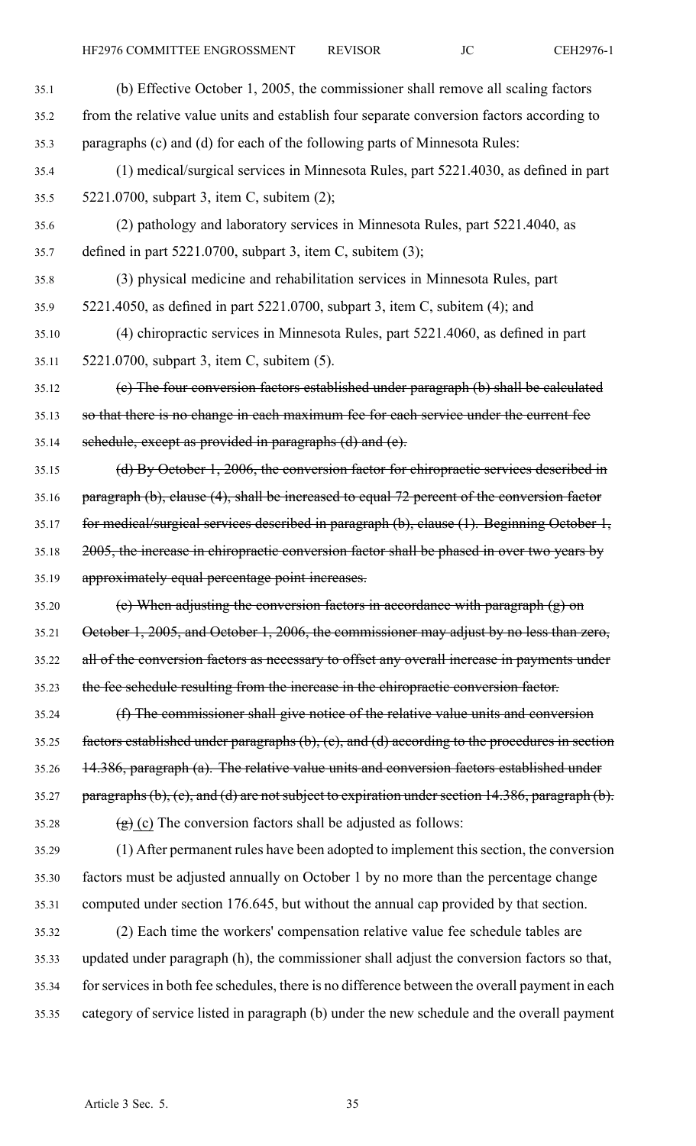| 35.1  | (b) Effective October 1, 2005, the commissioner shall remove all scaling factors                           |
|-------|------------------------------------------------------------------------------------------------------------|
| 35.2  | from the relative value units and establish four separate conversion factors according to                  |
| 35.3  | paragraphs (c) and (d) for each of the following parts of Minnesota Rules:                                 |
| 35.4  | (1) medical/surgical services in Minnesota Rules, part 5221.4030, as defined in part                       |
| 35.5  | 5221.0700, subpart 3, item C, subitem (2);                                                                 |
| 35.6  | (2) pathology and laboratory services in Minnesota Rules, part 5221.4040, as                               |
| 35.7  | defined in part $5221.0700$ , subpart 3, item C, subitem (3);                                              |
| 35.8  | (3) physical medicine and rehabilitation services in Minnesota Rules, part                                 |
| 35.9  | 5221.4050, as defined in part 5221.0700, subpart 3, item C, subitem (4); and                               |
| 35.10 | (4) chiropractic services in Minnesota Rules, part 5221.4060, as defined in part                           |
| 35.11 | 5221.0700, subpart 3, item C, subitem (5).                                                                 |
| 35.12 | (e) The four conversion factors established under paragraph (b) shall be calculated                        |
| 35.13 | so that there is no change in each maximum fee for each service under the current fee                      |
| 35.14 | sehedule, except as provided in paragraphs (d) and (e).                                                    |
| 35.15 | (d) By October 1, 2006, the conversion factor for chiropractic services described in                       |
| 35.16 | paragraph (b), clause (4), shall be increased to equal 72 percent of the conversion factor                 |
| 35.17 | for medical/surgical services described in paragraph (b), clause (1). Beginning October 1,                 |
| 35.18 | 2005, the increase in chiropractic conversion factor shall be phased in over two years by                  |
| 35.19 | approximately equal percentage point increases.                                                            |
| 35.20 | (e) When adjusting the conversion factors in accordance with paragraph $(g)$ on                            |
| 35.21 | October 1, 2005, and October 1, 2006, the commissioner may adjust by no less than zero,                    |
| 35.22 | all of the conversion factors as necessary to offset any overall increase in payments under                |
| 35.23 | the fee schedule resulting from the increase in the chiropractic conversion factor.                        |
| 35.24 | (f) The commissioner shall give notice of the relative value units and conversion                          |
| 35.25 | factors established under paragraphs $(b)$ , $(c)$ , and $(d)$ according to the procedures in section      |
| 35.26 | 14.386, paragraph (a). The relative value units and conversion factors established under                   |
| 35.27 | paragraphs $(b)$ , $(c)$ , and $(d)$ are not subject to expiration under section 14.386, paragraph $(b)$ . |
| 35.28 | $(g)$ (c) The conversion factors shall be adjusted as follows:                                             |
| 35.29 | (1) After permanent rules have been adopted to implement this section, the conversion                      |
| 35.30 | factors must be adjusted annually on October 1 by no more than the percentage change                       |
| 35.31 | computed under section 176.645, but without the annual cap provided by that section.                       |
| 35.32 | (2) Each time the workers' compensation relative value fee schedule tables are                             |
| 35.33 | updated under paragraph (h), the commissioner shall adjust the conversion factors so that,                 |
| 35.34 | for services in both fee schedules, there is no difference between the overall payment in each             |
| 35.35 | category of service listed in paragraph (b) under the new schedule and the overall payment                 |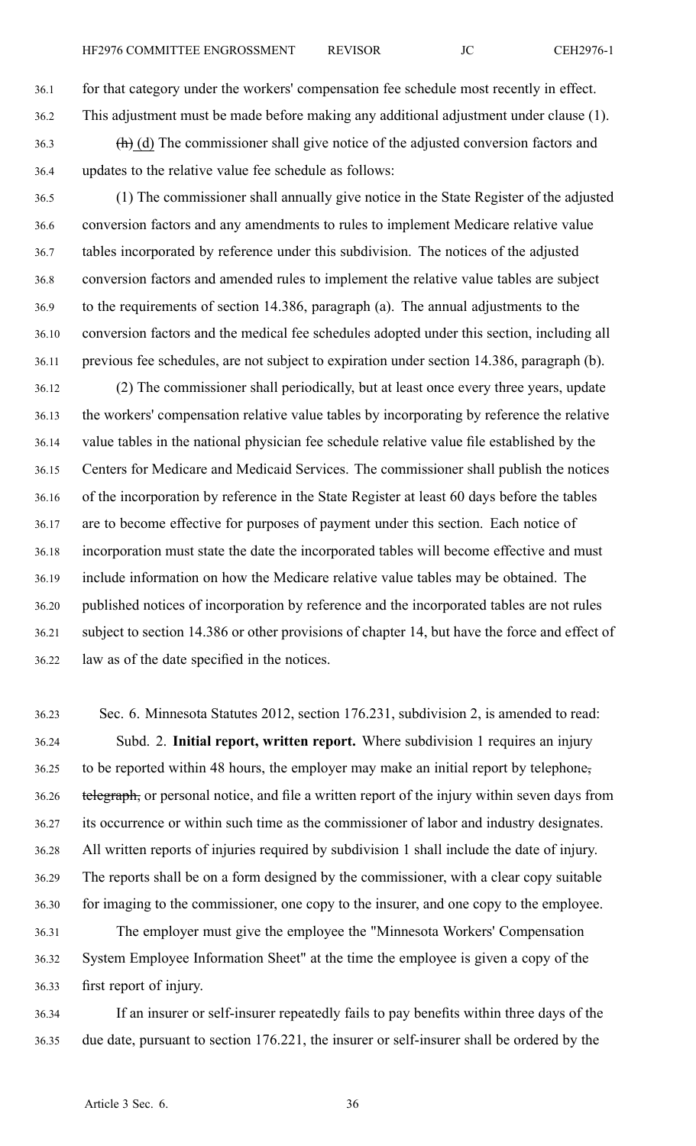36.1 for that category under the workers' compensation fee schedule most recently in effect. 36.2 This adjustment must be made before making any additional adjustment under clause (1).

- $36.3$  (h) (d) The commissioner shall give notice of the adjusted conversion factors and 36.4 updates to the relative value fee schedule as follows:
- 36.5 (1) The commissioner shall annually give notice in the State Register of the adjusted 36.6 conversion factors and any amendments to rules to implement Medicare relative value 36.7 tables incorporated by reference under this subdivision. The notices of the adjusted 36.8 conversion factors and amended rules to implement the relative value tables are subject 36.9 to the requirements of section 14.386, paragraph (a). The annual adjustments to the 36.10 conversion factors and the medical fee schedules adopted under this section, including all 36.11 previous fee schedules, are not subject to expiration under section 14.386, paragraph (b).
- 36.12 (2) The commissioner shall periodically, but at least once every three years, update 36.13 the workers' compensation relative value tables by incorporating by reference the relative 36.14 value tables in the national physician fee schedule relative value file established by the 36.15 Centers for Medicare and Medicaid Services. The commissioner shall publish the notices 36.16 of the incorporation by reference in the State Register at least 60 days before the tables 36.17 are to become effective for purposes of paymen<sup>t</sup> under this section. Each notice of 36.18 incorporation must state the date the incorporated tables will become effective and must 36.19 include information on how the Medicare relative value tables may be obtained. The 36.20 published notices of incorporation by reference and the incorporated tables are not rules 36.21 subject to section 14.386 or other provisions of chapter 14, but have the force and effect of 36.22 law as of the date specified in the notices.
- 36.23 Sec. 6. Minnesota Statutes 2012, section 176.231, subdivision 2, is amended to read: 36.24 Subd. 2. **Initial report, written report.** Where subdivision 1 requires an injury 36.25 to be reported within 48 hours, the employer may make an initial repor<sup>t</sup> by telephone, 36.26 telegraph, or personal notice, and file a written report of the injury within seven days from 36.27 its occurrence or within such time as the commissioner of labor and industry designates. 36.28 All written reports of injuries required by subdivision 1 shall include the date of injury. 36.29 The reports shall be on <sup>a</sup> form designed by the commissioner, with <sup>a</sup> clear copy suitable 36.30 for imaging to the commissioner, one copy to the insurer, and one copy to the employee. 36.31 The employer must give the employee the "Minnesota Workers' Compensation
- 36.32 System Employee Information Sheet" at the time the employee is given <sup>a</sup> copy of the 36.33 first repor<sup>t</sup> of injury.
- 36.34 If an insurer or self-insurer repeatedly fails to pay benefits within three days of the 36.35 due date, pursuan<sup>t</sup> to section 176.221, the insurer or self-insurer shall be ordered by the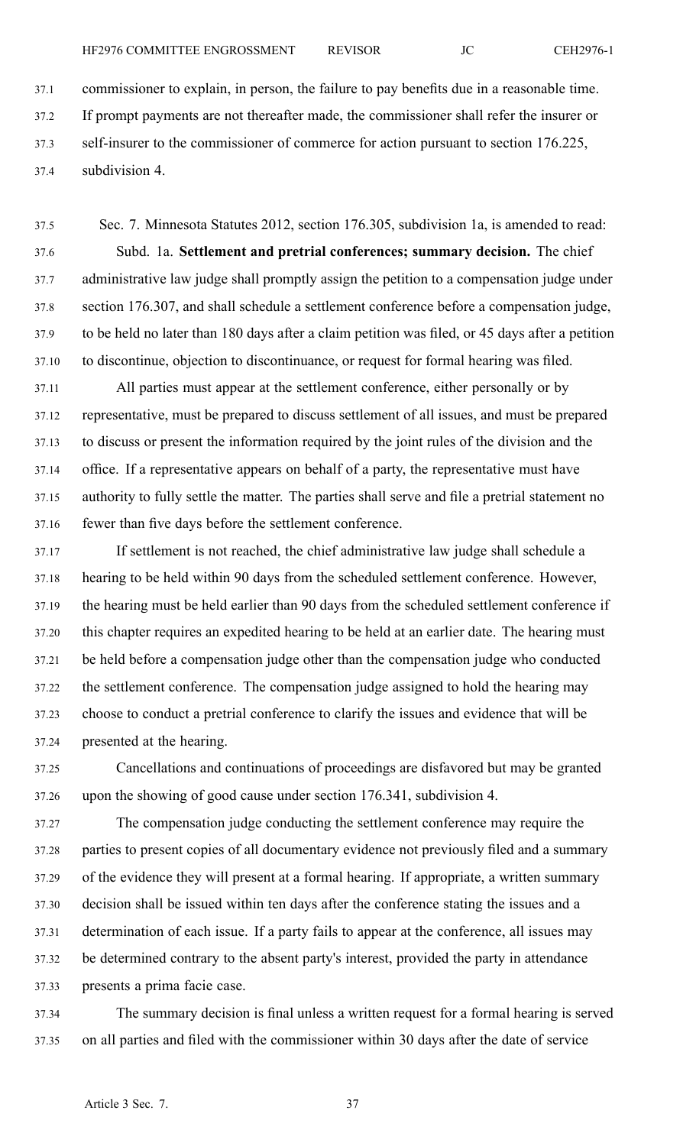37.1 commissioner to explain, in person, the failure to pay benefits due in <sup>a</sup> reasonable time. 37.2 If promp<sup>t</sup> payments are not thereafter made, the commissioner shall refer the insurer or 37.3 self-insurer to the commissioner of commerce for action pursuan<sup>t</sup> to section 176.225, 37.4 subdivision 4.

37.5 Sec. 7. Minnesota Statutes 2012, section 176.305, subdivision 1a, is amended to read: 37.6 Subd. 1a. **Settlement and pretrial conferences; summary decision.** The chief 37.7 administrative law judge shall promptly assign the petition to <sup>a</sup> compensation judge under 37.8 section 176.307, and shall schedule <sup>a</sup> settlement conference before <sup>a</sup> compensation judge, 37.9 to be held no later than 180 days after <sup>a</sup> claim petition was filed, or 45 days after <sup>a</sup> petition 37.10 to discontinue, objection to discontinuance, or reques<sup>t</sup> for formal hearing was filed.

37.11 All parties must appear at the settlement conference, either personally or by 37.12 representative, must be prepared to discuss settlement of all issues, and must be prepared 37.13 to discuss or presen<sup>t</sup> the information required by the joint rules of the division and the 37.14 office. If <sup>a</sup> representative appears on behalf of <sup>a</sup> party, the representative must have 37.15 authority to fully settle the matter. The parties shall serve and file <sup>a</sup> pretrial statement no 37.16 fewer than five days before the settlement conference.

37.17 If settlement is not reached, the chief administrative law judge shall schedule <sup>a</sup> 37.18 hearing to be held within 90 days from the scheduled settlement conference. However, 37.19 the hearing must be held earlier than 90 days from the scheduled settlement conference if 37.20 this chapter requires an expedited hearing to be held at an earlier date. The hearing must 37.21 be held before <sup>a</sup> compensation judge other than the compensation judge who conducted 37.22 the settlement conference. The compensation judge assigned to hold the hearing may 37.23 choose to conduct <sup>a</sup> pretrial conference to clarify the issues and evidence that will be 37.24 presented at the hearing.

37.25 Cancellations and continuations of proceedings are disfavored but may be granted 37.26 upon the showing of good cause under section 176.341, subdivision 4.

37.27 The compensation judge conducting the settlement conference may require the 37.28 parties to presen<sup>t</sup> copies of all documentary evidence not previously filed and <sup>a</sup> summary 37.29 of the evidence they will presen<sup>t</sup> at <sup>a</sup> formal hearing. If appropriate, <sup>a</sup> written summary 37.30 decision shall be issued within ten days after the conference stating the issues and <sup>a</sup> 37.31 determination of each issue. If <sup>a</sup> party fails to appear at the conference, all issues may 37.32 be determined contrary to the absent party's interest, provided the party in attendance 37.33 presents <sup>a</sup> prima facie case.

37.34 The summary decision is final unless <sup>a</sup> written reques<sup>t</sup> for <sup>a</sup> formal hearing is served 37.35 on all parties and filed with the commissioner within 30 days after the date of service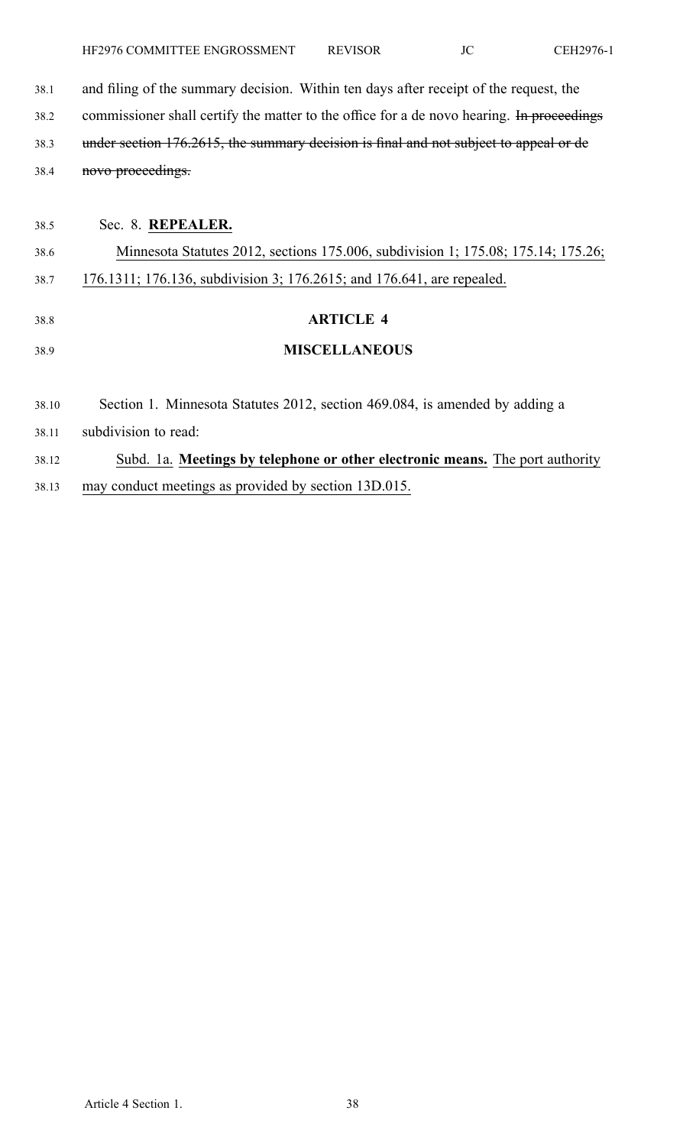38.1 and filing of the summary decision. Within ten days after receipt of the request, the 38.2 commissioner shall certify the matter to the office for a de novo hearing. In proceedings 38.3 under section 176.2615, the summary decision is final and not subject to appeal or de 38.4 novo proceedings.

| 38.5  | Sec. 8. REPEALER.                                                                 |
|-------|-----------------------------------------------------------------------------------|
| 38.6  | Minnesota Statutes 2012, sections 175.006, subdivision 1; 175.08; 175.14; 175.26; |
| 38.7  | 176.1311; 176.136, subdivision 3; 176.2615; and 176.641, are repealed.            |
| 38.8  | <b>ARTICLE 4</b>                                                                  |
| 38.9  | <b>MISCELLANEOUS</b>                                                              |
| 38.10 | Section 1. Minnesota Statutes 2012, section 469.084, is amended by adding a       |
| 38.11 | subdivision to read:                                                              |
| 38.12 | Subd. 1a. Meetings by telephone or other electronic means. The port authority     |
| 38.13 | may conduct meetings as provided by section 13D.015.                              |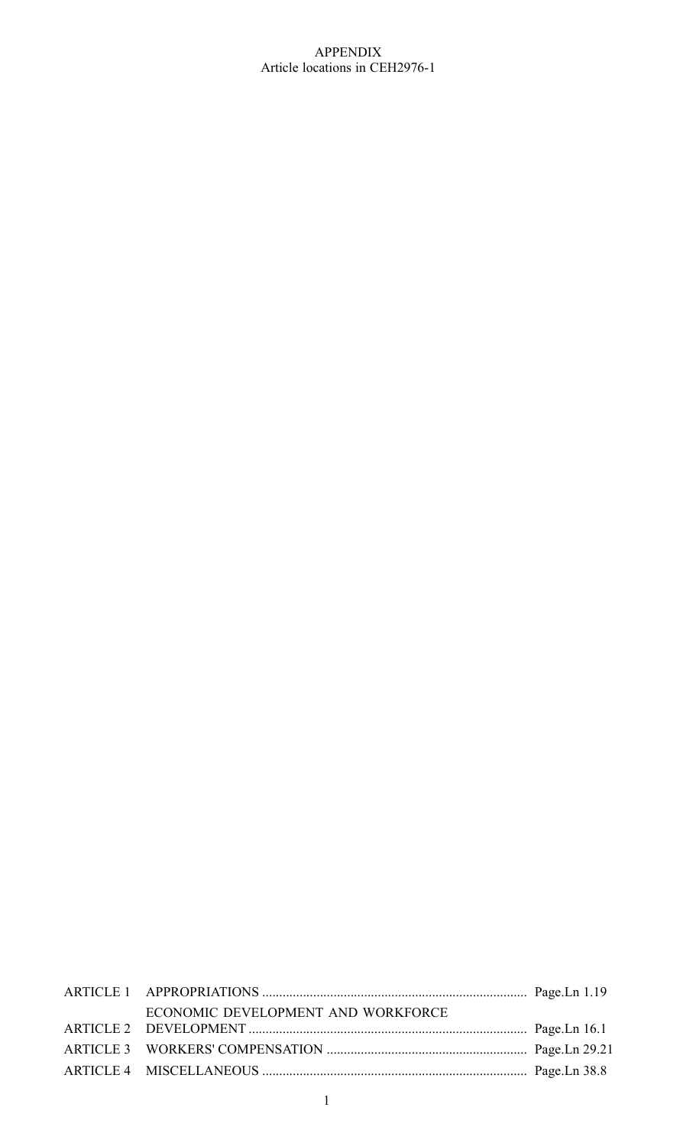## APPENDIX Article locations in CEH2976-1

| ECONOMIC DEVELOPMENT AND WORKFORCE |  |
|------------------------------------|--|
|                                    |  |
|                                    |  |
|                                    |  |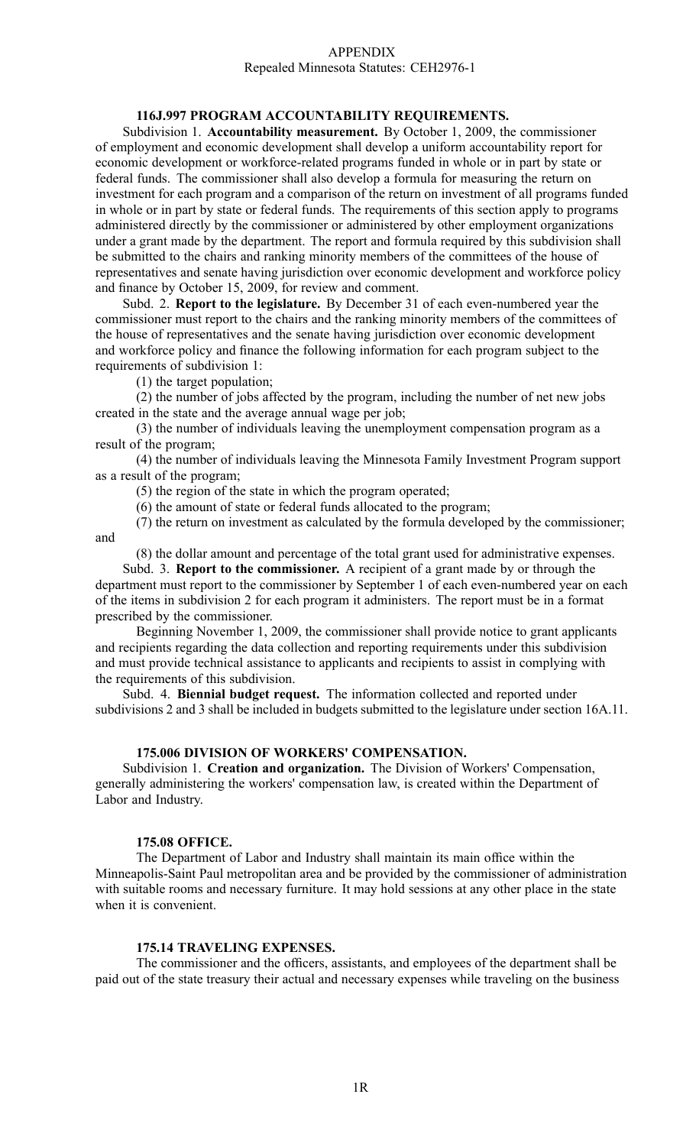#### APPENDIX Repealed Minnesota Statutes: CEH2976-1

## **116J.997 PROGRAM ACCOUNTABILITY REQUIREMENTS.**

Subdivision 1. **Accountability measurement.** By October 1, 2009, the commissioner of employment and economic development shall develop <sup>a</sup> uniform accountability repor<sup>t</sup> for economic development or workforce-related programs funded in whole or in par<sup>t</sup> by state or federal funds. The commissioner shall also develop <sup>a</sup> formula for measuring the return on investment for each program and <sup>a</sup> comparison of the return on investment of all programs funded in whole or in par<sup>t</sup> by state or federal funds. The requirements of this section apply to programs administered directly by the commissioner or administered by other employment organizations under <sup>a</sup> gran<sup>t</sup> made by the department. The repor<sup>t</sup> and formula required by this subdivision shall be submitted to the chairs and ranking minority members of the committees of the house of representatives and senate having jurisdiction over economic development and workforce policy and finance by October 15, 2009, for review and comment.

Subd. 2. **Report to the legislature.** By December 31 of each even-numbered year the commissioner must repor<sup>t</sup> to the chairs and the ranking minority members of the committees of the house of representatives and the senate having jurisdiction over economic development and workforce policy and finance the following information for each program subject to the requirements of subdivision 1:

(1) the target population;

(2) the number of jobs affected by the program, including the number of net new jobs created in the state and the average annual wage per job;

(3) the number of individuals leaving the unemployment compensation program as <sup>a</sup> result of the program;

(4) the number of individuals leaving the Minnesota Family Investment Program suppor<sup>t</sup> as <sup>a</sup> result of the program;

(5) the region of the state in which the program operated;

(6) the amount of state or federal funds allocated to the program;

(7) the return on investment as calculated by the formula developed by the commissioner;

and

(8) the dollar amount and percentage of the total gran<sup>t</sup> used for administrative expenses.

Subd. 3. **Report to the commissioner.** A recipient of <sup>a</sup> gran<sup>t</sup> made by or through the department must repor<sup>t</sup> to the commissioner by September 1 of each even-numbered year on each of the items in subdivision 2 for each program it administers. The repor<sup>t</sup> must be in <sup>a</sup> format prescribed by the commissioner.

Beginning November 1, 2009, the commissioner shall provide notice to gran<sup>t</sup> applicants and recipients regarding the data collection and reporting requirements under this subdivision and must provide technical assistance to applicants and recipients to assist in complying with the requirements of this subdivision.

Subd. 4. **Biennial budget request.** The information collected and reported under subdivisions 2 and 3 shall be included in budgets submitted to the legislature under section 16A.11.

#### **175.006 DIVISION OF WORKERS' COMPENSATION.**

Subdivision 1. **Creation and organization.** The Division of Workers' Compensation, generally administering the workers' compensation law, is created within the Department of Labor and Industry.

#### **175.08 OFFICE.**

The Department of Labor and Industry shall maintain its main office within the Minneapolis-Saint Paul metropolitan area and be provided by the commissioner of administration with suitable rooms and necessary furniture. It may hold sessions at any other place in the state when it is convenient.

#### **175.14 TRAVELING EXPENSES.**

The commissioner and the officers, assistants, and employees of the department shall be paid out of the state treasury their actual and necessary expenses while traveling on the business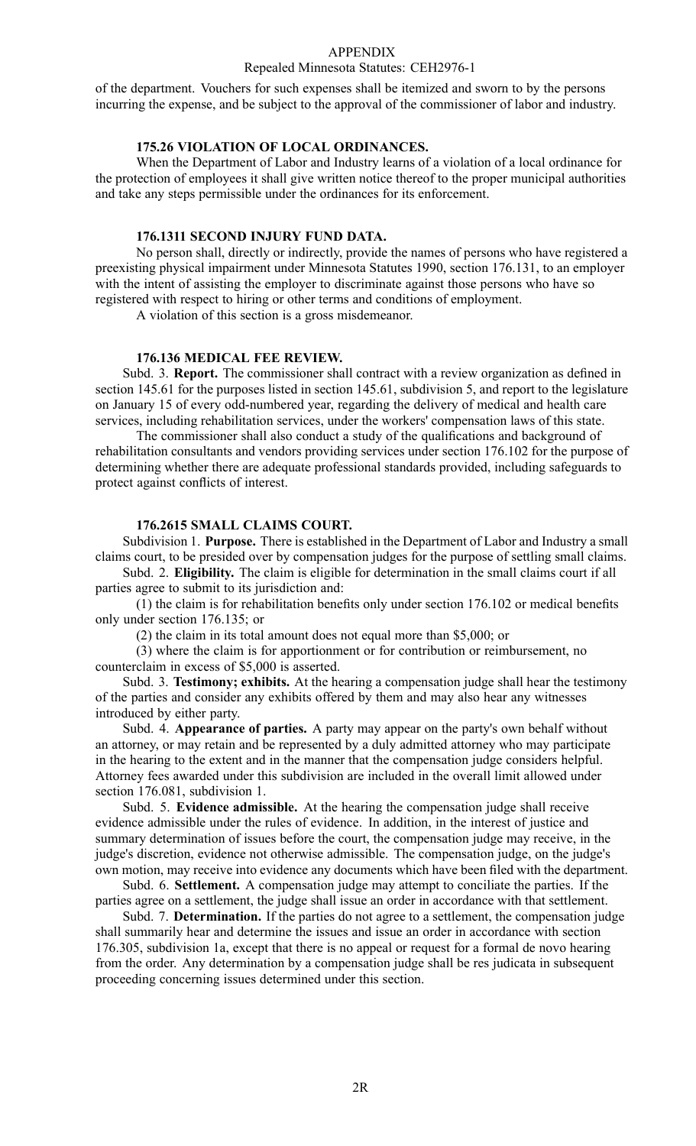#### APPENDIX

#### Repealed Minnesota Statutes: CEH2976-1

of the department. Vouchers for such expenses shall be itemized and sworn to by the persons incurring the expense, and be subject to the approval of the commissioner of labor and industry.

## **175.26 VIOLATION OF LOCAL ORDINANCES.**

When the Department of Labor and Industry learns of <sup>a</sup> violation of <sup>a</sup> local ordinance for the protection of employees it shall give written notice thereof to the proper municipal authorities and take any steps permissible under the ordinances for its enforcement.

## **176.1311 SECOND INJURY FUND DATA.**

No person shall, directly or indirectly, provide the names of persons who have registered <sup>a</sup> preexisting physical impairment under Minnesota Statutes 1990, section 176.131, to an employer with the intent of assisting the employer to discriminate against those persons who have so registered with respec<sup>t</sup> to hiring or other terms and conditions of employment.

A violation of this section is <sup>a</sup> gross misdemeanor.

#### **176.136 MEDICAL FEE REVIEW.**

Subd. 3. **Report.** The commissioner shall contract with <sup>a</sup> review organization as defined in section 145.61 for the purposes listed in section 145.61, subdivision 5, and repor<sup>t</sup> to the legislature on January 15 of every odd-numbered year, regarding the delivery of medical and health care services, including rehabilitation services, under the workers' compensation laws of this state.

The commissioner shall also conduct <sup>a</sup> study of the qualifications and background of rehabilitation consultants and vendors providing services under section 176.102 for the purpose of determining whether there are adequate professional standards provided, including safeguards to protect against conflicts of interest.

#### **176.2615 SMALL CLAIMS COURT.**

Subdivision 1. **Purpose.** There is established in the Department of Labor and Industry <sup>a</sup> small claims court, to be presided over by compensation judges for the purpose of settling small claims.

Subd. 2. **Eligibility.** The claim is eligible for determination in the small claims court if all parties agree to submit to its jurisdiction and:

(1) the claim is for rehabilitation benefits only under section 176.102 or medical benefits only under section 176.135; or

(2) the claim in its total amount does not equal more than \$5,000; or

(3) where the claim is for apportionment or for contribution or reimbursement, no counterclaim in excess of \$5,000 is asserted.

Subd. 3. **Testimony; exhibits.** At the hearing <sup>a</sup> compensation judge shall hear the testimony of the parties and consider any exhibits offered by them and may also hear any witnesses introduced by either party.

Subd. 4. **Appearance of parties.** A party may appear on the party's own behalf without an attorney, or may retain and be represented by <sup>a</sup> duly admitted attorney who may participate in the hearing to the extent and in the manner that the compensation judge considers helpful. Attorney fees awarded under this subdivision are included in the overall limit allowed under section 176.081, subdivision 1.

Subd. 5. **Evidence admissible.** At the hearing the compensation judge shall receive evidence admissible under the rules of evidence. In addition, in the interest of justice and summary determination of issues before the court, the compensation judge may receive, in the judge's discretion, evidence not otherwise admissible. The compensation judge, on the judge's own motion, may receive into evidence any documents which have been filed with the department.

Subd. 6. **Settlement.** A compensation judge may attempt to conciliate the parties. If the parties agree on <sup>a</sup> settlement, the judge shall issue an order in accordance with that settlement.

Subd. 7. **Determination.** If the parties do not agree to <sup>a</sup> settlement, the compensation judge shall summarily hear and determine the issues and issue an order in accordance with section 176.305, subdivision 1a, excep<sup>t</sup> that there is no appeal or reques<sup>t</sup> for <sup>a</sup> formal de novo hearing from the order. Any determination by <sup>a</sup> compensation judge shall be res judicata in subsequent proceeding concerning issues determined under this section.